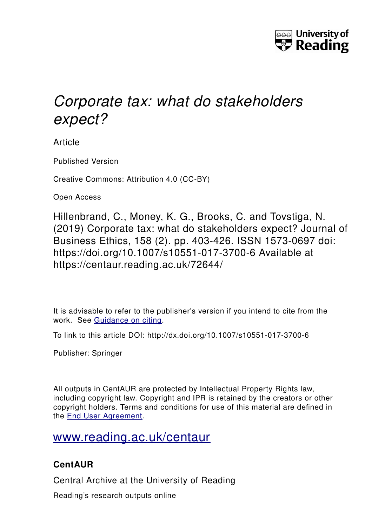

# *Corporate tax: what do stakeholders expect?*

Article

Published Version

Creative Commons: Attribution 4.0 (CC-BY)

Open Access

Hillenbrand, C., Money, K. G., Brooks, C. and Tovstiga, N. (2019) Corporate tax: what do stakeholders expect? Journal of Business Ethics, 158 (2). pp. 403-426. ISSN 1573-0697 doi: https://doi.org/10.1007/s10551-017-3700-6 Available at https://centaur.reading.ac.uk/72644/

It is advisable to refer to the publisher's version if you intend to cite from the work. See [Guidance on citing.](http://centaur.reading.ac.uk/71187/10/CentAUR%20citing%20guide.pdf)

To link to this article DOI: http://dx.doi.org/10.1007/s10551-017-3700-6

Publisher: Springer

All outputs in CentAUR are protected by Intellectual Property Rights law, including copyright law. Copyright and IPR is retained by the creators or other copyright holders. Terms and conditions for use of this material are defined in the [End User Agreement.](http://centaur.reading.ac.uk/licence)

## [www.reading.ac.uk/centaur](http://www.reading.ac.uk/centaur)

## **CentAUR**

Central Archive at the University of Reading

Reading's research outputs online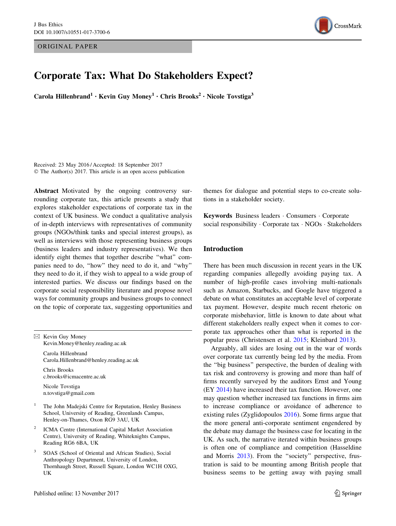ORIGINAL PAPER



## Corporate Tax: What Do Stakeholders Expect?

Carola Hillenbrand<sup>1</sup> • Kevin Guy Money<sup>1</sup> • Chris Brooks<sup>2</sup> • Nicole Tovstiga<sup>3</sup>

Received: 23 May 2016 / Accepted: 18 September 2017 © The Author(s) 2017. This article is an open access publication

Abstract Motivated by the ongoing controversy surrounding corporate tax, this article presents a study that explores stakeholder expectations of corporate tax in the context of UK business. We conduct a qualitative analysis of in-depth interviews with representatives of community groups (NGOs/think tanks and special interest groups), as well as interviews with those representing business groups (business leaders and industry representatives). We then identify eight themes that together describe ''what'' companies need to do, ''how'' they need to do it, and ''why'' they need to do it, if they wish to appeal to a wide group of interested parties. We discuss our findings based on the corporate social responsibility literature and propose novel ways for community groups and business groups to connect on the topic of corporate tax, suggesting opportunities and

 $\boxtimes$  Kevin Guy Money Kevin.Money@henley.reading.ac.uk

> Carola Hillenbrand Carola.Hillenbrand@henley.reading.ac.uk

Chris Brooks c.brooks@icmacentre.ac.uk

Nicole Tovstiga n.tovstiga@gmail.com

- <sup>1</sup> The John Madejski Centre for Reputation, Henley Business School, University of Reading, Greenlands Campus, Henley-on-Thames, Oxon RG9 3AU, UK
- <sup>2</sup> ICMA Centre (International Capital Market Association Centre), University of Reading, Whiteknights Campus, Reading RG6 6BA, UK
- <sup>3</sup> SOAS (School of Oriental and African Studies), Social Anthropology Department, University of London, Thornhaugh Street, Russell Square, London WC1H OXG, UK

themes for dialogue and potential steps to co-create solutions in a stakeholder society.

Keywords Business leaders - Consumers - Corporate social responsibility · Corporate tax · NGOs · Stakeholders

#### Introduction

There has been much discussion in recent years in the UK regarding companies allegedly avoiding paying tax. A number of high-profile cases involving multi-nationals such as Amazon, Starbucks, and Google have triggered a debate on what constitutes an acceptable level of corporate tax payment. However, despite much recent rhetoric on corporate misbehavior, little is known to date about what different stakeholders really expect when it comes to corporate tax approaches other than what is reported in the popular press (Christensen et al. [2015](#page-22-0); Kleinbard [2013\)](#page-23-0).

Arguably, all sides are losing out in the war of words over corporate tax currently being led by the media. From the ''big business'' perspective, the burden of dealing with tax risk and controversy is growing and more than half of firms recently surveyed by the auditors Ernst and Young (EY [2014](#page-22-0)) have increased their tax function. However, one may question whether increased tax functions in firms aim to increase compliance or avoidance of adherence to existing rules (Zyglidopoulos [2016](#page-24-0)). Some firms argue that the more general anti-corporate sentiment engendered by the debate may damage the business case for locating in the UK. As such, the narrative iterated within business groups is often one of compliance and competition (Hasseldine and Morris [2013](#page-23-0)). From the ''society'' perspective, frustration is said to be mounting among British people that business seems to be getting away with paying small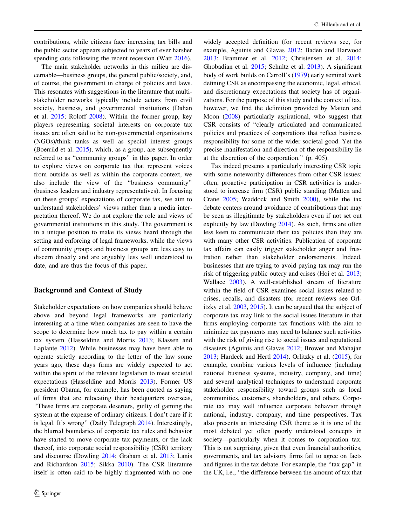contributions, while citizens face increasing tax bills and the public sector appears subjected to years of ever harsher spending cuts following the recent recession (Watt [2016](#page-24-0)).

The main stakeholder networks in this milieu are discernable—business groups, the general public/society, and, of course, the government in charge of policies and laws. This resonates with suggestions in the literature that multistakeholder networks typically include actors from civil society, business, and governmental institutions (Dahan et al. [2015;](#page-22-0) Roloff [2008](#page-24-0)). Within the former group, key players representing societal interests on corporate tax issues are often said to be non-governmental organizations (NGOs)/think tanks as well as special interest groups (Boerrild et al. [2015](#page-22-0)), which, as a group, are subsequently referred to as ''community groups'' in this paper. In order to explore views on corporate tax that represent voices from outside as well as within the corporate context, we also include the view of the ''business community'' (business leaders and industry representatives). In focusing on these groups' expectations of corporate tax, we aim to understand stakeholders' views rather than a media interpretation thereof. We do not explore the role and views of governmental institutions in this study. The government is in a unique position to make its views heard through the setting and enforcing of legal frameworks, while the views of community groups and business groups are less easy to discern directly and are arguably less well understood to date, and are thus the focus of this paper.

#### Background and Context of Study

Stakeholder expectations on how companies should behave above and beyond legal frameworks are particularly interesting at a time when companies are seen to have the scope to determine how much tax to pay within a certain tax system (Hasseldine and Morris [2013;](#page-23-0) Klassen and Laplante [2012\)](#page-23-0). While businesses may have been able to operate strictly according to the letter of the law some years ago, these days firms are widely expected to act within the spirit of the relevant legislation to meet societal expectations (Hasseldine and Morris [2013\)](#page-23-0). Former US president Obama, for example, has been quoted as saying of firms that are relocating their headquarters overseas, ''These firms are corporate deserters, guilty of gaming the system at the expense of ordinary citizens. I don't care if it is legal. It's wrong'' (Daily Telegraph [2014](#page-22-0)). Interestingly, the blurred boundaries of corporate tax rules and behavior have started to move corporate tax payments, or the lack thereof, into corporate social responsibility (CSR) territory and discourse (Dowling [2014;](#page-22-0) Graham et al. [2013](#page-23-0); Lanis and Richardson [2015](#page-23-0); Sikka [2010](#page-24-0)). The CSR literature itself is often said to be highly fragmented with no one

widely accepted definition (for recent reviews see, for example, Aguinis and Glavas [2012](#page-22-0); Baden and Harwood [2013](#page-22-0); Brammer et al. [2012](#page-22-0); Christensen et al. [2014](#page-22-0); Ghobadian et al. [2015;](#page-23-0) Schultz et al. [2013](#page-24-0)). A significant body of work builds on Carroll's [\(1979](#page-22-0)) early seminal work defining CSR as encompassing the economic, legal, ethical, and discretionary expectations that society has of organizations. For the purpose of this study and the context of tax, however, we find the definition provided by Matten and Moon [\(2008](#page-23-0)) particularly aspirational, who suggest that CSR consists of ''clearly articulated and communicated policies and practices of corporations that reflect business responsibility for some of the wider societal good. Yet the precise manifestation and direction of the responsibility lie at the discretion of the corporation.'' (p. 405).

Tax indeed presents a particularly interesting CSR topic with some noteworthy differences from other CSR issues: often, proactive participation in CSR activities is understood to increase firm (CSR) public standing (Matten and Crane [2005](#page-23-0); Waddock and Smith [2000\)](#page-24-0), while the tax debate centers around avoidance of contributions that may be seen as illegitimate by stakeholders even if not set out explicitly by law (Dowling [2014\)](#page-22-0). As such, firms are often less keen to communicate their tax policies than they are with many other CSR activities. Publication of corporate tax affairs can easily trigger stakeholder anger and frustration rather than stakeholder endorsements. Indeed, businesses that are trying to avoid paying tax may run the risk of triggering public outcry and crises (Hoi et al. [2013](#page-23-0); Wallace [2003](#page-24-0)). A well-established stream of literature within the field of CSR examines social issues related to crises, recalls, and disasters (for recent reviews see Orlitzky et al. [2003](#page-23-0), [2015](#page-23-0)). It can be argued that the subject of corporate tax may link to the social issues literature in that firms employing corporate tax functions with the aim to minimize tax payments may need to balance such activities with the risk of giving rise to social issues and reputational disasters (Aguinis and Glavas [2012;](#page-22-0) Brower and Mahajan [2013](#page-22-0); Hardeck and Hertl [2014\)](#page-23-0). Orlitzky et al. ([2015\)](#page-23-0), for example, combine various levels of influence (including national business systems, industry, company, and time) and several analytical techniques to understand corporate stakeholder responsibility toward groups such as local communities, customers, shareholders, and others. Corporate tax may well influence corporate behavior through national, industry, company, and time perspectives. Tax also presents an interesting CSR theme as it is one of the most debated yet often poorly understood concepts in society—particularly when it comes to corporation tax. This is not surprising, given that even financial authorities, governments, and tax advisory firms fail to agree on facts and figures in the tax debate. For example, the ''tax gap'' in the UK, i.e., ''the difference between the amount of tax that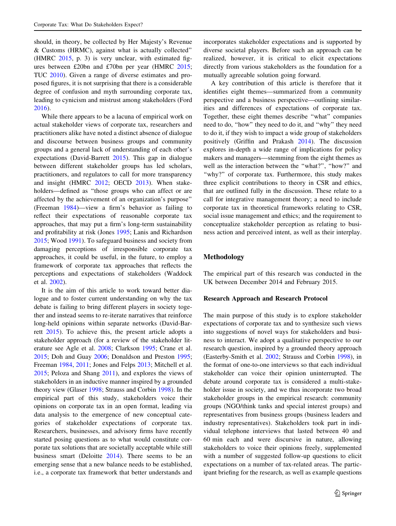should, in theory, be collected by Her Majesty's Revenue & Customs (HRMC), against what is actually collected'' (HMRC [2015](#page-23-0), p. 3) is very unclear, with estimated figures between £20bn and £70bn per year (HMRC [2015](#page-23-0); TUC [2010\)](#page-24-0). Given a range of diverse estimates and proposed figures, it is not surprising that there is a considerable degree of confusion and myth surrounding corporate tax, leading to cynicism and mistrust among stakeholders (Ford [2016\)](#page-22-0).

While there appears to be a lacuna of empirical work on actual stakeholder views of corporate tax, researchers and practitioners alike have noted a distinct absence of dialogue and discourse between business groups and community groups and a general lack of understanding of each other's expectations (David-Barrett [2015\)](#page-22-0). This gap in dialogue between different stakeholder groups has led scholars, practitioners, and regulators to call for more transparency and insight (HMRC [2012;](#page-23-0) OECD [2013\)](#page-23-0). When stakeholders—defined as "those groups who can affect or are affected by the achievement of an organization's purpose'' (Freeman [1984](#page-23-0))—view a firm's behavior as failing to reflect their expectations of reasonable corporate tax approaches, that may put a firm's long-term sustainability and profitability at risk (Jones [1995](#page-23-0); Lanis and Richardson [2015;](#page-23-0) Wood [1991\)](#page-24-0). To safeguard business and society from damaging perceptions of irresponsible corporate tax approaches, it could be useful, in the future, to employ a framework of corporate tax approaches that reflects the perceptions and expectations of stakeholders (Waddock et al. [2002\)](#page-24-0).

It is the aim of this article to work toward better dialogue and to foster current understanding on why the tax debate is failing to bring different players in society together and instead seems to re-iterate narratives that reinforce long-held opinions within separate networks (David-Barrett [2015](#page-22-0)). To achieve this, the present article adopts a stakeholder approach (for a review of the stakeholder literature see Agle et al. [2008](#page-22-0); Clarkson [1995;](#page-22-0) Crane et al. [2015;](#page-22-0) Doh and Guay [2006](#page-22-0); Donaldson and Preston [1995](#page-22-0); Freeman [1984,](#page-23-0) [2011](#page-23-0); Jones and Felps [2013;](#page-23-0) Mitchell et al. [2015;](#page-23-0) Peloza and Shang [2011\)](#page-23-0), and explores the views of stakeholders in an inductive manner inspired by a grounded theory view (Glaser [1998](#page-23-0); Strauss and Corbin [1998](#page-24-0)). In the empirical part of this study, stakeholders voice their opinions on corporate tax in an open format, leading via data analysis to the emergence of new conceptual categories of stakeholder expectations of corporate tax. Researchers, businesses, and advisory firms have recently started posing questions as to what would constitute corporate tax solutions that are societally acceptable while still business smart (Deloitte [2014\)](#page-22-0). There seems to be an emerging sense that a new balance needs to be established, i.e., a corporate tax framework that better understands and incorporates stakeholder expectations and is supported by diverse societal players. Before such an approach can be realized, however, it is critical to elicit expectations directly from various stakeholders as the foundation for a mutually agreeable solution going forward.

A key contribution of this article is therefore that it identifies eight themes—summarized from a community perspective and a business perspective—outlining similarities and differences of expectations of corporate tax. Together, these eight themes describe ''what'' companies need to do, ''how'' they need to do it, and ''why'' they need to do it, if they wish to impact a wide group of stakeholders positively (Griffin and Prakash [2014](#page-23-0)). The discussion explores in-depth a wide range of implications for policy makers and managers—stemming from the eight themes as well as the interaction between the ''what?'', ''how?'' and "why?" of corporate tax. Furthermore, this study makes three explicit contributions to theory in CSR and ethics, that are outlined fully in the discussion. These relate to a call for integrative management theory; a need to include corporate tax in theoretical frameworks relating to CSR, social issue management and ethics; and the requirement to conceptualize stakeholder perception as relating to business action and perceived intent, as well as their interplay.

#### Methodology

The empirical part of this research was conducted in the UK between December 2014 and February 2015.

#### Research Approach and Research Protocol

The main purpose of this study is to explore stakeholder expectations of corporate tax and to synthesize such views into suggestions of novel ways for stakeholders and business to interact. We adopt a qualitative perspective to our research question, inspired by a grounded theory approach (Easterby-Smith et al. [2002](#page-22-0); Strauss and Corbin [1998](#page-24-0)), in the format of one-to-one interviews so that each individual stakeholder can voice their opinion uninterrupted. The debate around corporate tax is considered a multi-stakeholder issue in society, and we thus incorporate two broad stakeholder groups in the empirical research: community groups (NGO/think tanks and special interest groups) and representatives from business groups (business leaders and industry representatives). Stakeholders took part in individual telephone interviews that lasted between 40 and 60 min each and were discursive in nature, allowing stakeholders to voice their opinions freely, supplemented with a number of suggested follow-up questions to elicit expectations on a number of tax-related areas. The participant briefing for the research, as well as example questions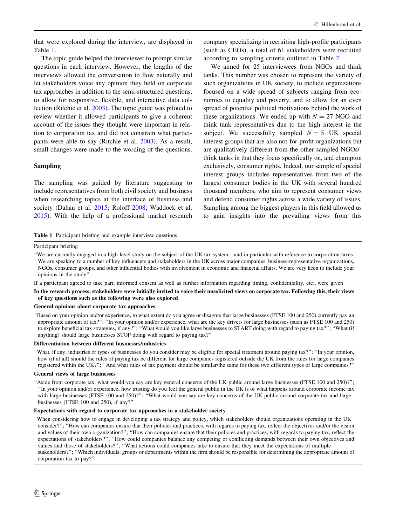that were explored during the interview, are displayed in Table 1.

The topic guide helped the interviewer to prompt similar questions in each interview. However, the lengths of the interviews allowed the conversation to flow naturally and let stakeholders voice any opinion they held on corporate tax approaches in addition to the semi-structured questions, to allow for responsive, flexible, and interactive data collection (Ritchie et al. [2003](#page-24-0)). The topic guide was piloted to review whether it allowed participants to give a coherent account of the issues they thought were important in relation to corporation tax and did not constrain what participants were able to say (Ritchie et al. [2003\)](#page-24-0). As a result, small changes were made to the wording of the questions.

#### Sampling

The sampling was guided by literature suggesting to include representatives from both civil society and business when researching topics at the interface of business and society (Dahan et al. [2015;](#page-22-0) Roloff [2008;](#page-24-0) Waddock et al. [2015\)](#page-24-0). With the help of a professional market research

#### Table 1 Participant briefing and example interview questions

#### Participant briefing

If a participant agreed to take part, informed consent as well as further information regarding timing, confidentiality, etc., were given

In the research process, stakeholders were initially invited to voice their unsolicited views on corporate tax. Following this, their views of key questions such as the following were also explored

#### General opinions about corporate tax approaches

''Based on your opinion and/or experience, to what extent do you agree or disagree that large businesses (FTSE 100 and 250) currently pay an appropriate amount of tax?''; ''In your opinion and/or experience, what are the key drivers for large businesses (such as FTSE 100 and 250) to explore beneficial tax strategies, if any?"; "What would you like large businesses to START doing with regard to paying tax?"; "What (if anything) should large businesses STOP doing with regard to paying tax?''

#### Differentiation between different businesses/industries

''What, if any, industries or types of businesses do you consider may be eligible for special treatment around paying tax?''; ''In your opinion, how (if at all) should the rules of paying tax be different for large companies registered outside the UK from the rules for large companies registered within the UK?''; ''And what rules of tax payment should be similar/the same for these two different types of large companies?''

#### General views of large businesses

''Aside from corporate tax, what would you say are key general concerns of the UK public around large businesses (FTSE 100 and 250)?''; ''In your opinion and/or experience, how trusting do you feel the general public in the UK is of what happens around corporate income tax with large businesses (FTSE 100 and 250)?"; "What would you say are key concerns of the UK public around corporate tax and large businesses (FTSE 100 and 250), if any?''

#### Expectations with regard to corporate tax approaches in a stakeholder society

''When considering how to engage in developing a tax strategy and policy, which stakeholders should organizations operating in the UK consider?''; ''How can companies ensure that their policies and practices, with regards to paying tax, reflect the objectives and/or the vision and values of their own organization?"; "How can companies ensure that their policies and practices, with regards to paying tax, reflect the expectations of stakeholders?''; ''How could companies balance any competing or conflicting demands between their own objectives and values and those of stakeholders?''; ''What actions could companies take to ensure that they meet the expectations of multiple stakeholders?''; ''Which individuals, groups or departments within the firm should be responsible for determining the appropriate amount of corporation tax to pay?''

company specializing in recruiting high-profile participants (such as CEOs), a total of 61 stakeholders were recruited according to sampling criteria outlined in Table [2](#page-5-0).

We aimed for 25 interviewees from NGOs and think tanks. This number was chosen to represent the variety of such organizations in UK society, to include organizations focused on a wide spread of subjects ranging from economics to equality and poverty, and to allow for an even spread of potential political motivations behind the work of these organizations. We ended up with  $N = 27$  NGO and think tank representatives due to the high interest in the subject. We successfully sampled  $N = 5$  UK special interest groups that are also not-for-profit organizations but are qualitatively different from the other sampled NGOs/ think tanks in that they focus specifically on, and champion exclusively, consumer rights. Indeed, our sample of special interest groups includes representatives from two of the largest consumer bodies in the UK with several hundred thousand members, who aim to represent consumer views and defend consumer rights across a wide variety of issues. Sampling among the biggest players in this field allowed us to gain insights into the prevailing views from this

<sup>&#</sup>x27;'We are currently engaged in a high-level study on the subject of the UK tax system—and in particular with reference to corporation taxes. We are speaking to a number of key influencers and stakeholders in the UK across major companies, business-representative organizations, NGOs, consumer groups, and other influential bodies with involvement in economic and financial affairs. We are very keen to include your opinions in the study''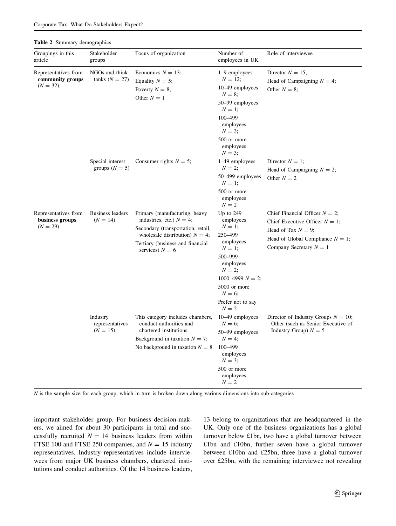<span id="page-5-0"></span>

|  |  |  |  | Corporate Tax: What Do Stakeholders Expect? |  |
|--|--|--|--|---------------------------------------------|--|
|--|--|--|--|---------------------------------------------|--|

|  |  |  | <b>Table 2</b> Summary demographics |
|--|--|--|-------------------------------------|
|--|--|--|-------------------------------------|

| Groupings in this<br>article                           | Stakeholder<br>groups                     | Focus of organization                                                                                                                                                                            | Number of<br>employees in UK                                                                                                                                                              | Role of interviewee                                                                                                                                                 |
|--------------------------------------------------------|-------------------------------------------|--------------------------------------------------------------------------------------------------------------------------------------------------------------------------------------------------|-------------------------------------------------------------------------------------------------------------------------------------------------------------------------------------------|---------------------------------------------------------------------------------------------------------------------------------------------------------------------|
| Representatives from<br>community groups<br>$(N = 32)$ | NGOs and think<br>tanks $(N = 27)$        | Economics $N = 13$ ;<br>Equality $N = 5$ ;<br>Poverty $N = 8$ ;<br>Other $N = 1$                                                                                                                 | 1–9 employees<br>$N = 12$ ;<br>10–49 employees<br>$N=8$ ;<br>50-99 employees<br>$N=1$ ;<br>100-499<br>employees<br>$N = 3;$<br>500 or more<br>employees<br>$N = 3;$                       | Director $N = 15$ ;<br>Head of Campaigning $N = 4$ ;<br>Other $N = 8$ ;                                                                                             |
|                                                        | Special interest<br>groups $(N = 5)$      | Consumer rights $N = 5$ ;                                                                                                                                                                        | 1–49 employees<br>$N = 2;$<br>50-499 employees<br>$N=1$ ;<br>500 or more<br>employees<br>$N=2$                                                                                            | Director $N = 1$ ;<br>Head of Campaigning $N = 2$ ;<br>Other $N = 2$                                                                                                |
| Representatives from<br>business groups<br>$(N = 29)$  | <b>Business leaders</b><br>$(N = 14)$     | Primary (manufacturing, heavy<br>industries, etc.) $N = 4$ ;<br>Secondary (transportation, retail,<br>wholesale distribution) $N = 4$ ;<br>Tertiary (business and financial<br>services) $N = 6$ | Up to 249<br>employees<br>$N=1$ ;<br>250-499<br>employees<br>$N=1$ ;<br>500-999<br>employees<br>$N = 2;$<br>$1000-4999 N = 2$ ;<br>5000 or more<br>$N = 6;$<br>Prefer not to say<br>$N=2$ | Chief Financial Officer $N = 2$ ;<br>Chief Executive Officer $N = 1$ ;<br>Head of Tax $N = 9$ ;<br>Head of Global Compliance $N = 1$ ;<br>Company Secretary $N = 1$ |
|                                                        | Industry<br>representatives<br>$(N = 15)$ | This category includes chambers,<br>conduct authorities and<br>chartered institutions<br>Background in taxation $N = 7$ ;<br>No background in taxation $N = 8$                                   | 10-49 employees<br>$N = 6$ ;<br>50–99 employees<br>$N=4$ ;<br>100-499<br>employees<br>$N = 3$ ;<br>500 or more<br>employees<br>$N=2$                                                      | Director of Industry Groups $N = 10$ ;<br>Other (such as Senior Executive of<br>Industry Group) $N = 5$                                                             |

N is the sample size for each group, which in turn is broken down along various dimensions into sub-categories

important stakeholder group. For business decision-makers, we aimed for about 30 participants in total and successfully recruited  $N = 14$  business leaders from within FTSE 100 and FTSE 250 companies, and  $N = 15$  industry representatives. Industry representatives include interviewees from major UK business chambers, chartered institutions and conduct authorities. Of the 14 business leaders,

13 belong to organizations that are headquartered in the UK. Only one of the business organizations has a global turnover below £1bn, two have a global turnover between £1bn and £10bn, further seven have a global turnover between £10bn and £25bn, three have a global turnover over £25bn, with the remaining interviewee not revealing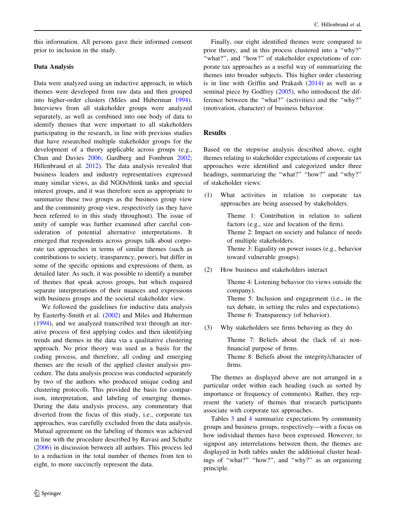this information. All persons gave their informed consent prior to inclusion in the study.

#### Data Analysis

Data were analyzed using an inductive approach, in which themes were developed from raw data and then grouped into higher-order clusters (Miles and Huberman [1994](#page-23-0)). Interviews from all stakeholder groups were analyzed separately, as well as combined into one body of data to identify themes that were important to all stakeholders participating in the research, in line with previous studies that have researched multiple stakeholder groups for the development of a theory applicable across groups (e.g., Chun and Davies [2006;](#page-22-0) Gardberg and Fombrun [2002](#page-23-0); Hillenbrand et al. [2012\)](#page-23-0). The data analysis revealed that business leaders and industry representatives expressed many similar views, as did NGOs/think tanks and special interest groups, and it was therefore seen as appropriate to summarize these two groups as the business group view and the community group view, respectively (as they have been referred to in this study throughout). The issue of unity of sample was further examined after careful consideration of potential alternative interpretations. It emerged that respondents across groups talk about corporate tax approaches in terms of similar themes (such as contributions to society, transparency, power), but differ in some of the specific opinions and expressions of them, as detailed later. As such, it was possible to identify a number of themes that speak across groups, but which required separate interpretations of their nuances and expressions with business groups and the societal stakeholder view.

We followed the guidelines for inductive data analysis by Easterby-Smith et al. ([2002\)](#page-22-0) and Miles and Huberman [\(1994](#page-23-0)), and we analyzed transcribed text through an iterative process of first applying codes and then identifying trends and themes in the data via a qualitative clustering approach. No prior theory was used as a basis for the coding process, and therefore, all coding and emerging themes are the result of the applied cluster analysis procedure. The data analysis process was conducted separately by two of the authors who produced unique coding and clustering protocols. This provided the basis for comparison, interpretation, and labeling of emerging themes. During the data analysis process, any commentary that diverted from the focus of this study, i.e., corporate tax approaches, was carefully excluded from the data analysis. Mutual agreement on the labeling of themes was achieved in line with the procedure described by Ravasi and Schultz [\(2006](#page-23-0)) in discussion between all authors. This process led to a reduction in the total number of themes from ten to eight, to more succinctly represent the data.

Finally, our eight identified themes were compared to prior theory, and in this process clustered into a ''why?'' "what?", and "how?" of stakeholder expectations of corporate tax approaches as a useful way of summarizing the themes into broader subjects. This higher order clustering is in line with Griffin and Prakash [\(2014](#page-23-0)) as well as a seminal piece by Godfrey [\(2005](#page-23-0)), who introduced the difference between the ''what?'' (activities) and the ''why?'' (motivation, character) of business behavior.

#### **Results**

Based on the stepwise analysis described above, eight themes relating to stakeholder expectations of corporate tax approaches were identified and categorized under three headings, summarizing the "what?" "how?" and "why?" of stakeholder views:

(1) What activities in relation to corporate tax approaches are being assessed by stakeholders.

> Theme 1: Contribution in relation to salient factors (e.g., size and location of the firm). Theme 2: Impact on society and balance of needs of multiple stakeholders. Theme 3: Equality on power issues (e.g., behavior

toward vulnerable groups).

(2) How business and stakeholders interact

Theme 4: Listening behavior (to views outside the company). Theme 5: Inclusion and engagement (i.e., in the tax debate, in setting the rules and expectations).

Theme 6: Transparency (of behavior).

(3) Why stakeholders see firms behaving as they do

Theme 7: Beliefs about the (lack of a) nonfinancial purpose of firms.

Theme 8: Beliefs about the integrity/character of firms.

The themes as displayed above are not arranged in a particular order within each heading (such as sorted by importance or frequency of comments). Rather, they represent the variety of themes that research participants associate with corporate tax approaches.

Tables [3](#page-7-0) and [4](#page-8-0) summarize expectations by community groups and business groups, respectively—with a focus on how individual themes have been expressed. However, to signpost any interrelations between them, the themes are displayed in both tables under the additional cluster headings of "what?" "how?", and "why?" as an organizing principle.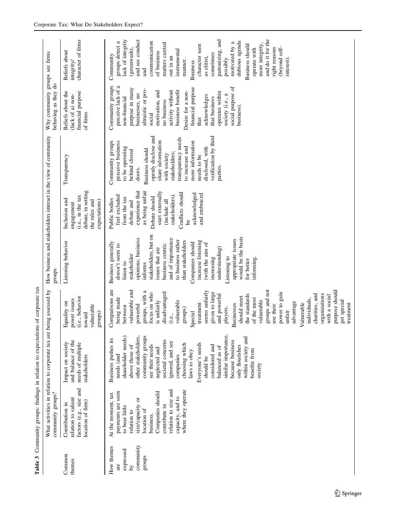<span id="page-7-0"></span>

|                                                             | community groups?                                                                                                                                                                                                               | What activities in relation to corporate tax are                                                                                                                                                                                                                                                                                                                                                                                      | being assessed by                                                                                                                                                                                                                                                                                                                                                                                                                                                                                                                                              | How business and stakeholders interact in the view of community<br>groups                                                                                                                                                                                                                                                                                                                                               |                                                                                                                                                                                                                                    |                                                                                                                                                                                                                                                                                                                                | Why community groups see firms<br>behaving as they do                                                                                                                                                                                                                                                                                                               |                                                                                                                                                                                                                                                                                                                                                                                                                                                       |
|-------------------------------------------------------------|---------------------------------------------------------------------------------------------------------------------------------------------------------------------------------------------------------------------------------|---------------------------------------------------------------------------------------------------------------------------------------------------------------------------------------------------------------------------------------------------------------------------------------------------------------------------------------------------------------------------------------------------------------------------------------|----------------------------------------------------------------------------------------------------------------------------------------------------------------------------------------------------------------------------------------------------------------------------------------------------------------------------------------------------------------------------------------------------------------------------------------------------------------------------------------------------------------------------------------------------------------|-------------------------------------------------------------------------------------------------------------------------------------------------------------------------------------------------------------------------------------------------------------------------------------------------------------------------------------------------------------------------------------------------------------------------|------------------------------------------------------------------------------------------------------------------------------------------------------------------------------------------------------------------------------------|--------------------------------------------------------------------------------------------------------------------------------------------------------------------------------------------------------------------------------------------------------------------------------------------------------------------------------|---------------------------------------------------------------------------------------------------------------------------------------------------------------------------------------------------------------------------------------------------------------------------------------------------------------------------------------------------------------------|-------------------------------------------------------------------------------------------------------------------------------------------------------------------------------------------------------------------------------------------------------------------------------------------------------------------------------------------------------------------------------------------------------------------------------------------------------|
| Common<br>themes                                            | factors (e.g., size and<br>relation to salient<br>location of firm)<br>Contribution in                                                                                                                                          | and balance of the<br>needs of multiple<br>Impact on society<br>stakeholders                                                                                                                                                                                                                                                                                                                                                          | (i.e., behavior<br>power issues<br>Equality on<br>vulnerable<br>groups)<br>toward                                                                                                                                                                                                                                                                                                                                                                                                                                                                              | Listening behavior                                                                                                                                                                                                                                                                                                                                                                                                      | debate, in setting<br>(i.e., in the tax<br>Inclusion and<br>the rules and<br>expectations)<br>engagement                                                                                                                           | Transparency                                                                                                                                                                                                                                                                                                                   | financial purpose<br>Beliefs about the<br>(lack of a) non-<br>of firms                                                                                                                                                                                                                                                                                              | character of firms<br>Beliefs about<br>integrity/                                                                                                                                                                                                                                                                                                                                                                                                     |
| community<br>How themes<br>expressed<br>groups<br>are<br>ΣĀ | relation to size and<br>where they operate<br>payments are seen<br>Companies should<br>At the moment, tax<br>capacity, and to<br>size/capacity or<br>contribute in<br>to bear little<br>location of<br>relation to<br>business. | similar importance,<br>community groups<br>shareholder needs)<br>other stakeholders,<br>within society and<br>Business pushes its<br>societal concerns<br>because business<br>ignored, and see<br>Everyone's needs<br>choosing which<br>see their needs<br>considered and<br>above those of<br>only flourishes<br>balanced as of<br>neglected and<br>benefits from<br>laws to obey<br>needs (and<br>companies<br>should be<br>society | Comparisons are<br>groups and not<br>purpose should<br>vulnerable and<br>seems unfairly<br>groups, with a<br>focus on who<br>disadvantaged<br>given to large<br>power to gain<br>organizations<br>charities, and<br>and powerful<br>the standards<br>with a social<br>should meet<br>being made<br>of the most<br>individuals,<br>is unfairly<br>vulnerable<br>get special<br>vulnerable<br>advantage<br>Vulnerable<br>treatment<br><b>Businesses</b><br>treatment<br>powerful<br>use their<br>between<br>players.<br>$groups)$<br>unfair<br>Special<br>(i.e., | stakeholders, but on<br>would be the basis<br>opinions; business<br>and of importance<br>appropriate issues<br>to business rather<br>than stakeholders<br>increase listening<br>Companies should<br>Business generally<br>(with the aim of<br>business centric<br>doesn't seem to<br>issues that are<br>understanding)<br>stakeholder<br>Listening to<br>increasing<br>informing.<br>for better<br>listen to<br>informs | experience that<br>as being unfair<br>start externally<br>Conflicts should<br>acknowledged<br>and embraced<br>feel excluded<br>stakeholders)<br>Debate should<br>from the tax<br>Public bodies<br>(include all<br>debate and<br>٥e | verification by third<br>openly disclose and<br>transparency needs<br>share information<br>perceive business<br>Community groups<br>more information<br>to increase and<br>to be operating<br>disclosed, with<br><b>Business</b> should<br>behind closed<br>stakeholders;<br>with society<br>needs to be<br>parties.<br>doors. | perceive lack of a<br>social purpose of<br>Community groups<br>financial purpose<br>purpose in many<br>altruistic or pro-<br>activity without<br>business benefit<br>motivation, and<br>Desire for a non-<br>operates within<br>businesses, no<br>society (i.e., a<br>acknowledges<br>non-financial<br>that business<br>no business<br>business).<br>social<br>that | patronizing, and<br>and do it for the<br>lack of integrity<br>and see conduct<br>groups detect a<br>dubious agenda<br>communication<br>motivated by a<br>more integrity,<br>matters carried<br>character seen<br>Business should<br>(beyond self-<br>right reasons<br>(greenwash),<br>operate with<br>instrumental<br>of business<br>sometimes<br>Community<br>out in an<br>as elitist,<br>interest)<br>possibly<br>manner.<br><b>Business</b><br>and |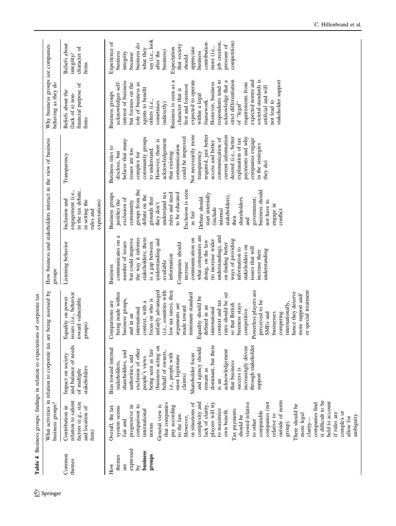<span id="page-8-0"></span>

|                                                               |                                                                                                                                                                                                                                                                                                                                                                                                                                                                                                                                                                                                                  | Table 4 Business groups: findings in relation to expectations of corporate tax                                                                                                                                                                                                                                                                                                                                                                |                                                                                                                                                                                                                                                                                                                                                                                                                                                                                                                                                                                    |                                                                                                                                                                                                                                                                                                                                                                                                                                                                                   |                                                                                                                                                                                                                                                                                                                                                                                                                       |                                                                                                                                                                                                                                                                                                                                                                                                                                                                                        |                                                                                                                                                                                                                                                                                                                                                                                                                                                                                                                                                   |                                                                                                                                                                                                                                                                              |
|---------------------------------------------------------------|------------------------------------------------------------------------------------------------------------------------------------------------------------------------------------------------------------------------------------------------------------------------------------------------------------------------------------------------------------------------------------------------------------------------------------------------------------------------------------------------------------------------------------------------------------------------------------------------------------------|-----------------------------------------------------------------------------------------------------------------------------------------------------------------------------------------------------------------------------------------------------------------------------------------------------------------------------------------------------------------------------------------------------------------------------------------------|------------------------------------------------------------------------------------------------------------------------------------------------------------------------------------------------------------------------------------------------------------------------------------------------------------------------------------------------------------------------------------------------------------------------------------------------------------------------------------------------------------------------------------------------------------------------------------|-----------------------------------------------------------------------------------------------------------------------------------------------------------------------------------------------------------------------------------------------------------------------------------------------------------------------------------------------------------------------------------------------------------------------------------------------------------------------------------|-----------------------------------------------------------------------------------------------------------------------------------------------------------------------------------------------------------------------------------------------------------------------------------------------------------------------------------------------------------------------------------------------------------------------|----------------------------------------------------------------------------------------------------------------------------------------------------------------------------------------------------------------------------------------------------------------------------------------------------------------------------------------------------------------------------------------------------------------------------------------------------------------------------------------|---------------------------------------------------------------------------------------------------------------------------------------------------------------------------------------------------------------------------------------------------------------------------------------------------------------------------------------------------------------------------------------------------------------------------------------------------------------------------------------------------------------------------------------------------|------------------------------------------------------------------------------------------------------------------------------------------------------------------------------------------------------------------------------------------------------------------------------|
|                                                               | business groups?                                                                                                                                                                                                                                                                                                                                                                                                                                                                                                                                                                                                 | What activities in relation to corporate tax are                                                                                                                                                                                                                                                                                                                                                                                              | being assessed by                                                                                                                                                                                                                                                                                                                                                                                                                                                                                                                                                                  | How business and stakeholders interact in the view of business<br>groups                                                                                                                                                                                                                                                                                                                                                                                                          |                                                                                                                                                                                                                                                                                                                                                                                                                       |                                                                                                                                                                                                                                                                                                                                                                                                                                                                                        | Why business groups see companies<br>behaving as they do                                                                                                                                                                                                                                                                                                                                                                                                                                                                                          |                                                                                                                                                                                                                                                                              |
| Common<br>themes                                              | relation to salient<br>factors (e.g., size<br>and location of<br>Contribution in<br>firm)                                                                                                                                                                                                                                                                                                                                                                                                                                                                                                                        | and balance of needs<br>Impact on society<br>stakeholders<br>of multiple                                                                                                                                                                                                                                                                                                                                                                      | issues (i.e., behavior<br>Equality on power<br>toward vulnerable<br>groups)                                                                                                                                                                                                                                                                                                                                                                                                                                                                                                        | Listening behavior                                                                                                                                                                                                                                                                                                                                                                                                                                                                | in the tax debate,<br>engagement (i.e.,<br>Inclusion and<br>in setting the<br>expectations)<br>rules and                                                                                                                                                                                                                                                                                                              | Transparency                                                                                                                                                                                                                                                                                                                                                                                                                                                                           | financial purpose of<br>Beliefs about the<br>(lack of a) non-<br>firms                                                                                                                                                                                                                                                                                                                                                                                                                                                                            | Beliefs about<br>character of<br>integrity/<br>firms                                                                                                                                                                                                                         |
| expressed<br>business<br>groups<br>themes<br>are<br>How<br>ΣÀ | it difficult to be<br>outside of norm<br>viewed relative<br>held to account<br>complexity and<br>companies (not<br>companies find<br>in situations of<br>that companies<br>players will try<br>lack of clarity,<br>There should be<br>comparison to<br>General view is<br>progressive in<br>pay according<br>Overall, the tax<br>system seems<br>international<br>to maximize<br>Tax payments<br>own benefit.<br>comparable<br>complex or<br>if rules are<br>to the law.<br>more legal<br>relative to<br>ambiguity<br>should be<br>However,<br>allow for<br>to other<br>fair and<br>group).<br>clarity-<br>norms | through stakeholder<br>dominant, but there<br>(business acting on<br>increasingly driven<br>Bias toward internal<br>and agency should<br>exclusion of other<br>being seen as fair<br>acknowledgement<br>behalf of owners,<br>shareholders, and<br>Shareholder focus<br>i.e., people with<br>most legitimate<br>authorities, and<br>people's views<br>that business<br>stakeholders,<br>success is<br>remain as<br>support<br>clains)<br>is an | unfairly advantaged<br>Powerless players are<br>ow tax rates), then<br>i.e., countries with<br>or special treatment<br>nence they deserve<br>ates should be set<br>minimum standard<br>being made within<br>more support and/<br>Equality should be<br>focus on who is<br>business groups.<br>context and tax<br>perceived to be<br>Comparisons are<br>context, with a<br>nternationally,<br>arguments are<br>business stays<br>so that British<br>nade toward<br>defined in an<br>nternational<br>nternational<br>competitive<br>competing<br>businesses<br>SMEs and<br>and in an | understanding), and<br>what companies are<br>communicates on a<br>the way it informs<br>stakeholders; there<br>but could improve<br>communication on<br>understanding and<br>(to increase wider<br>ways of providing<br>doing, on the law<br>number of issues<br>is a gap between<br>on finding better<br>Companies should<br>stakeholders on<br>issues that will<br>information to<br>understanding<br>increase their<br>information<br>available<br>increase<br><b>Business</b> | groups from the<br>Exclusion is seen<br>business should<br>Business groups<br>to be educated<br>understand tax<br>rules and need<br>start internally<br>debate on the<br>stakeholders),<br>grounds that<br>Debate should<br>government;<br>exclusion of<br>shareholders<br>justifies the<br>community<br>not have to<br>they don't<br>engage in<br>(include<br>internal<br>conflict<br>as fair<br>then<br><b>Tand</b> | required, just better<br>Not necessarily more<br>current information<br>could be improved<br>desired (i.e., better<br>payments and why<br>community groups<br>communication of<br>explanation of tax<br>companies engage<br>However, there is<br>acknowledgement<br>believe that many<br>access and better<br>in the strategies<br>communication<br>Business tries to<br>to understand.<br>issues are too<br>disclose, but<br>that existing<br>transparency<br>complex for<br>they do) | societal standards is<br>strict differentiation<br>expected norms and<br>stakeholder support<br>expected to operate<br>respondents tend to<br>acknowledge that a<br>Business is seen as a<br>interest of business<br>acknowledges self-<br>However, business<br>role of business as<br>but focuses on the<br>requirements from<br>first and foremost<br>artificial and will<br>agents to benefit<br>character that is<br>Business groups<br>within a legal<br>others (i.e.,<br>not lead to<br>of "legal"<br>sometimes<br>framework<br>indirectly) | say (i.e., look<br>Experience of<br>competition)<br>job creation,<br>contribution<br>business do<br>that society<br>pressure of<br>more (i.e.,<br>Expectation<br>appreciate<br>what they<br>business)<br>after the<br>business<br>business<br>integrity<br>because<br>should |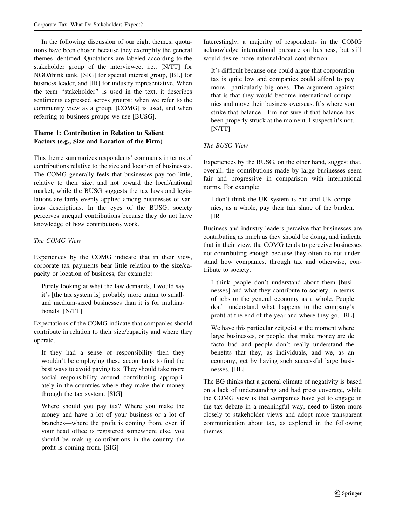In the following discussion of our eight themes, quotations have been chosen because they exemplify the general themes identified. Quotations are labeled according to the stakeholder group of the interviewee, i.e., [N/TT] for NGO/think tank, [SIG] for special interest group, [BL] for business leader, and [IR] for industry representative. When the term ''stakeholder'' is used in the text, it describes sentiments expressed across groups: when we refer to the community view as a group, [COMG] is used, and when referring to business groups we use [BUSG].

## Theme 1: Contribution in Relation to Salient Factors (e.g., Size and Location of the Firm)

This theme summarizes respondents' comments in terms of contributions relative to the size and location of businesses. The COMG generally feels that businesses pay too little, relative to their size, and not toward the local/national market, while the BUSG suggests the tax laws and legislations are fairly evenly applied among businesses of various descriptions. In the eyes of the BUSG, society perceives unequal contributions because they do not have knowledge of how contributions work.

#### The COMG View

Experiences by the COMG indicate that in their view, corporate tax payments bear little relation to the size/capacity or location of business, for example:

Purely looking at what the law demands, I would say it's [the tax system is] probably more unfair to smalland medium-sized businesses than it is for multinationals. [N/TT]

Expectations of the COMG indicate that companies should contribute in relation to their size/capacity and where they operate.

If they had a sense of responsibility then they wouldn't be employing these accountants to find the best ways to avoid paying tax. They should take more social responsibility around contributing appropriately in the countries where they make their money through the tax system. [SIG]

Where should you pay tax? Where you make the money and have a lot of your business or a lot of branches—where the profit is coming from, even if your head office is registered somewhere else, you should be making contributions in the country the profit is coming from. [SIG]

Interestingly, a majority of respondents in the COMG acknowledge international pressure on business, but still would desire more national/local contribution.

It's difficult because one could argue that corporation tax is quite low and companies could afford to pay more—particularly big ones. The argument against that is that they would become international companies and move their business overseas. It's where you strike that balance—I'm not sure if that balance has been properly struck at the moment. I suspect it's not. [N/TT]

### The BUSG View

Experiences by the BUSG, on the other hand, suggest that, overall, the contributions made by large businesses seem fair and progressive in comparison with international norms. For example:

I don't think the UK system is bad and UK companies, as a whole, pay their fair share of the burden.  $[IR]$ 

Business and industry leaders perceive that businesses are contributing as much as they should be doing, and indicate that in their view, the COMG tends to perceive businesses not contributing enough because they often do not understand how companies, through tax and otherwise, contribute to society.

I think people don't understand about them [businesses] and what they contribute to society, in terms of jobs or the general economy as a whole. People don't understand what happens to the company's profit at the end of the year and where they go. [BL]

We have this particular zeitgeist at the moment where large businesses, or people, that make money are de facto bad and people don't really understand the benefits that they, as individuals, and we, as an economy, get by having such successful large businesses. [BL]

The BG thinks that a general climate of negativity is based on a lack of understanding and bad press coverage, while the COMG view is that companies have yet to engage in the tax debate in a meaningful way, need to listen more closely to stakeholder views and adopt more transparent communication about tax, as explored in the following themes.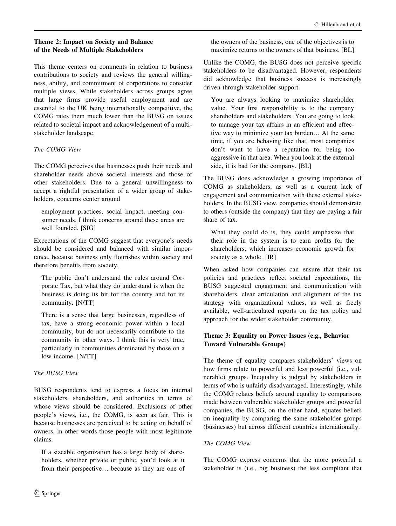## Theme 2: Impact on Society and Balance of the Needs of Multiple Stakeholders

This theme centers on comments in relation to business contributions to society and reviews the general willingness, ability, and commitment of corporations to consider multiple views. While stakeholders across groups agree that large firms provide useful employment and are essential to the UK being internationally competitive, the COMG rates them much lower than the BUSG on issues related to societal impact and acknowledgement of a multistakeholder landscape.

### The COMG View

The COMG perceives that businesses push their needs and shareholder needs above societal interests and those of other stakeholders. Due to a general unwillingness to accept a rightful presentation of a wider group of stakeholders, concerns center around

employment practices, social impact, meeting consumer needs. I think concerns around these areas are well founded. [SIG]

Expectations of the COMG suggest that everyone's needs should be considered and balanced with similar importance, because business only flourishes within society and therefore benefits from society.

The public don't understand the rules around Corporate Tax, but what they do understand is when the business is doing its bit for the country and for its community. [N/TT]

There is a sense that large businesses, regardless of tax, have a strong economic power within a local community, but do not necessarily contribute to the community in other ways. I think this is very true, particularly in communities dominated by those on a low income. [N/TT]

### The BUSG View

BUSG respondents tend to express a focus on internal stakeholders, shareholders, and authorities in terms of whose views should be considered. Exclusions of other people's views, i.e., the COMG, is seen as fair. This is because businesses are perceived to be acting on behalf of owners, in other words those people with most legitimate claims.

If a sizeable organization has a large body of shareholders, whether private or public, you'd look at it from their perspective… because as they are one of the owners of the business, one of the objectives is to maximize returns to the owners of that business. [BL]

Unlike the COMG, the BUSG does not perceive specific stakeholders to be disadvantaged. However, respondents did acknowledge that business success is increasingly driven through stakeholder support.

You are always looking to maximize shareholder value. Your first responsibility is to the company shareholders and stakeholders. You are going to look to manage your tax affairs in an efficient and effective way to minimize your tax burden… At the same time, if you are behaving like that, most companies don't want to have a reputation for being too aggressive in that area. When you look at the external side, it is bad for the company. [BL]

The BUSG does acknowledge a growing importance of COMG as stakeholders, as well as a current lack of engagement and communication with these external stakeholders. In the BUSG view, companies should demonstrate to others (outside the company) that they are paying a fair share of tax.

What they could do is, they could emphasize that their role in the system is to earn profits for the shareholders, which increases economic growth for society as a whole. [IR]

When asked how companies can ensure that their tax policies and practices reflect societal expectations, the BUSG suggested engagement and communication with shareholders, clear articulation and alignment of the tax strategy with organizational values, as well as freely available, well-articulated reports on the tax policy and approach for the wider stakeholder community.

## Theme 3: Equality on Power Issues (e.g., Behavior Toward Vulnerable Groups)

The theme of equality compares stakeholders' views on how firms relate to powerful and less powerful (i.e., vulnerable) groups. Inequality is judged by stakeholders in terms of who is unfairly disadvantaged. Interestingly, while the COMG relates beliefs around equality to comparisons made between vulnerable stakeholder groups and powerful companies, the BUSG, on the other hand, equates beliefs on inequality by comparing the same stakeholder groups (businesses) but across different countries internationally.

### The COMG View

The COMG express concerns that the more powerful a stakeholder is (i.e., big business) the less compliant that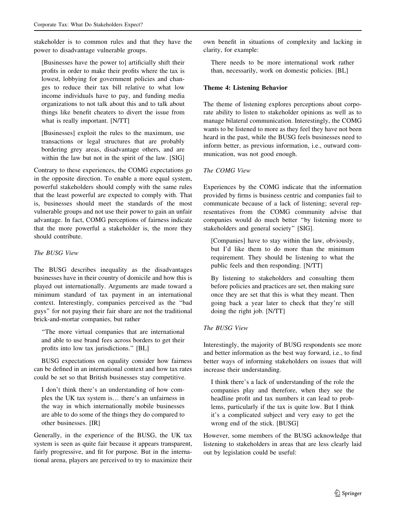stakeholder is to common rules and that they have the power to disadvantage vulnerable groups.

[Businesses have the power to] artificially shift their profits in order to make their profits where the tax is lowest, lobbying for government policies and changes to reduce their tax bill relative to what low income individuals have to pay, and funding media organizations to not talk about this and to talk about things like benefit cheaters to divert the issue from what is really important. [N/TT]

[Businesses] exploit the rules to the maximum, use transactions or legal structures that are probably bordering grey areas, disadvantage others, and are within the law but not in the spirit of the law. [SIG]

Contrary to these experiences, the COMG expectations go in the opposite direction. To enable a more equal system, powerful stakeholders should comply with the same rules that the least powerful are expected to comply with. That is, businesses should meet the standards of the most vulnerable groups and not use their power to gain an unfair advantage. In fact, COMG perceptions of fairness indicate that the more powerful a stakeholder is, the more they should contribute.

#### The BUSG View

The BUSG describes inequality as the disadvantages businesses have in their country of domicile and how this is played out internationally. Arguments are made toward a minimum standard of tax payment in an international context. Interestingly, companies perceived as the ''bad guys'' for not paying their fair share are not the traditional brick-and-mortar companies, but rather

''The more virtual companies that are international and able to use brand fees across borders to get their profits into low tax jurisdictions.'' [BL]

BUSG expectations on equality consider how fairness can be defined in an international context and how tax rates could be set so that British businesses stay competitive.

I don't think there's an understanding of how complex the UK tax system is… there's an unfairness in the way in which internationally mobile businesses are able to do some of the things they do compared to other businesses. [IR]

Generally, in the experience of the BUSG, the UK tax system is seen as quite fair because it appears transparent, fairly progressive, and fit for purpose. But in the international arena, players are perceived to try to maximize their

own benefit in situations of complexity and lacking in clarity, for example:

There needs to be more international work rather than, necessarily, work on domestic policies. [BL]

#### Theme 4: Listening Behavior

The theme of listening explores perceptions about corporate ability to listen to stakeholder opinions as well as to manage bilateral communication. Interestingly, the COMG wants to be listened to more as they feel they have not been heard in the past, while the BUSG feels businesses need to inform better, as previous information, i.e., outward communication, was not good enough.

### The COMG View

Experiences by the COMG indicate that the information provided by firms is business centric and companies fail to communicate because of a lack of listening; several representatives from the COMG community advise that companies would do much better ''by listening more to stakeholders and general society'' [SIG].

[Companies] have to stay within the law, obviously, but I'd like them to do more than the minimum requirement. They should be listening to what the public feels and then responding. [N/TT]

By listening to stakeholders and consulting them before policies and practices are set, then making sure once they are set that this is what they meant. Then going back a year later to check that they're still doing the right job. [N/TT]

### The BUSG View

Interestingly, the majority of BUSG respondents see more and better information as the best way forward, i.e., to find better ways of informing stakeholders on issues that will increase their understanding.

I think there's a lack of understanding of the role the companies play and therefore, when they see the headline profit and tax numbers it can lead to problems, particularly if the tax is quite low. But I think it's a complicated subject and very easy to get the wrong end of the stick. [BUSG]

However, some members of the BUSG acknowledge that listening to stakeholders in areas that are less clearly laid out by legislation could be useful: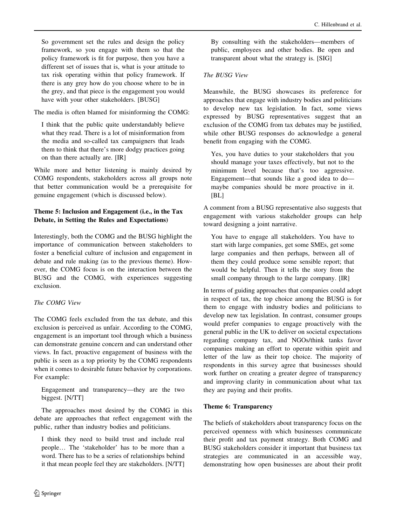So government set the rules and design the policy framework, so you engage with them so that the policy framework is fit for purpose, then you have a different set of issues that is, what is your attitude to tax risk operating within that policy framework. If there is any grey how do you choose where to be in the grey, and that piece is the engagement you would have with your other stakeholders. [BUSG]

The media is often blamed for misinforming the COMG:

I think that the public quite understandably believe what they read. There is a lot of misinformation from the media and so-called tax campaigners that leads them to think that there's more dodgy practices going on than there actually are. [IR]

While more and better listening is mainly desired by COMG respondents, stakeholders across all groups note that better communication would be a prerequisite for genuine engagement (which is discussed below).

## Theme 5: Inclusion and Engagement (i.e., in the Tax Debate, in Setting the Rules and Expectations)

Interestingly, both the COMG and the BUSG highlight the importance of communication between stakeholders to foster a beneficial culture of inclusion and engagement in debate and rule making (as to the previous theme). However, the COMG focus is on the interaction between the BUSG and the COMG, with experiences suggesting exclusion.

## The COMG View

The COMG feels excluded from the tax debate, and this exclusion is perceived as unfair. According to the COMG, engagement is an important tool through which a business can demonstrate genuine concern and can understand other views. In fact, proactive engagement of business with the public is seen as a top priority by the COMG respondents when it comes to desirable future behavior by corporations. For example:

Engagement and transparency—they are the two biggest. [N/TT]

The approaches most desired by the COMG in this debate are approaches that reflect engagement with the public, rather than industry bodies and politicians.

I think they need to build trust and include real people… The 'stakeholder' has to be more than a word. There has to be a series of relationships behind it that mean people feel they are stakeholders. [N/TT]

By consulting with the stakeholders—members of public, employees and other bodies. Be open and transparent about what the strategy is. [SIG]

## The BUSG View

Meanwhile, the BUSG showcases its preference for approaches that engage with industry bodies and politicians to develop new tax legislation. In fact, some views expressed by BUSG representatives suggest that an exclusion of the COMG from tax debates may be justified, while other BUSG responses do acknowledge a general benefit from engaging with the COMG.

Yes, you have duties to your stakeholders that you should manage your taxes effectively, but not to the minimum level because that's too aggressive. Engagement—that sounds like a good idea to do maybe companies should be more proactive in it. [BL]

A comment from a BUSG representative also suggests that engagement with various stakeholder groups can help toward designing a joint narrative.

You have to engage all stakeholders. You have to start with large companies, get some SMEs, get some large companies and then perhaps, between all of them they could produce some sensible report; that would be helpful. Then it tells the story from the small company through to the large company. [IR]

In terms of guiding approaches that companies could adopt in respect of tax, the top choice among the BUSG is for them to engage with industry bodies and politicians to develop new tax legislation. In contrast, consumer groups would prefer companies to engage proactively with the general public in the UK to deliver on societal expectations regarding company tax, and NGOs/think tanks favor companies making an effort to operate within spirit and letter of the law as their top choice. The majority of respondents in this survey agree that businesses should work further on creating a greater degree of transparency and improving clarity in communication about what tax they are paying and their profits.

## Theme 6: Transparency

The beliefs of stakeholders about transparency focus on the perceived openness with which businesses communicate their profit and tax payment strategy. Both COMG and BUSG stakeholders consider it important that business tax strategies are communicated in an accessible way, demonstrating how open businesses are about their profit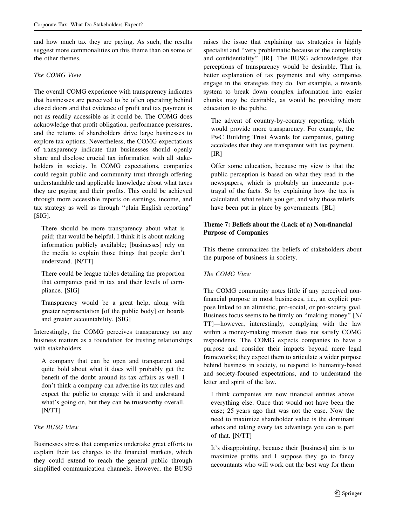and how much tax they are paying. As such, the results suggest more commonalities on this theme than on some of the other themes.

#### The COMG View

The overall COMG experience with transparency indicates that businesses are perceived to be often operating behind closed doors and that evidence of profit and tax payment is not as readily accessible as it could be. The COMG does acknowledge that profit obligation, performance pressures, and the returns of shareholders drive large businesses to explore tax options. Nevertheless, the COMG expectations of transparency indicate that businesses should openly share and disclose crucial tax information with all stakeholders in society. In COMG expectations, companies could regain public and community trust through offering understandable and applicable knowledge about what taxes they are paying and their profits. This could be achieved through more accessible reports on earnings, income, and tax strategy as well as through ''plain English reporting'' [SIG].

There should be more transparency about what is paid; that would be helpful. I think it is about making information publicly available; [businesses] rely on the media to explain those things that people don't understand. [N/TT]

There could be league tables detailing the proportion that companies paid in tax and their levels of compliance. [SIG]

Transparency would be a great help, along with greater representation [of the public body] on boards and greater accountability. [SIG]

Interestingly, the COMG perceives transparency on any business matters as a foundation for trusting relationships with stakeholders.

A company that can be open and transparent and quite bold about what it does will probably get the benefit of the doubt around its tax affairs as well. I don't think a company can advertise its tax rules and expect the public to engage with it and understand what's going on, but they can be trustworthy overall. [N/TT]

#### The BUSG View

Businesses stress that companies undertake great efforts to explain their tax charges to the financial markets, which they could extend to reach the general public through simplified communication channels. However, the BUSG raises the issue that explaining tax strategies is highly specialist and ''very problematic because of the complexity and confidentiality'' [IR]. The BUSG acknowledges that perceptions of transparency would be desirable. That is, better explanation of tax payments and why companies engage in the strategies they do. For example, a rewards system to break down complex information into easier chunks may be desirable, as would be providing more education to the public.

The advent of country-by-country reporting, which would provide more transparency. For example, the PwC Building Trust Awards for companies, getting accolades that they are transparent with tax payment.  $[IR]$ 

Offer some education, because my view is that the public perception is based on what they read in the newspapers, which is probably an inaccurate portrayal of the facts. So by explaining how the tax is calculated, what reliefs you get, and why those reliefs have been put in place by governments. [BL]

## Theme 7: Beliefs about the (Lack of a) Non-financial Purpose of Companies

This theme summarizes the beliefs of stakeholders about the purpose of business in society.

#### The COMG View

The COMG community notes little if any perceived nonfinancial purpose in most businesses, i.e., an explicit purpose linked to an altruistic, pro-social, or pro-society goal. Business focus seems to be firmly on ''making money'' [N/ TT]—however, interestingly, complying with the law within a money-making mission does not satisfy COMG respondents. The COMG expects companies to have a purpose and consider their impacts beyond mere legal frameworks; they expect them to articulate a wider purpose behind business in society, to respond to humanity-based and society-focused expectations, and to understand the letter and spirit of the law.

I think companies are now financial entities above everything else. Once that would not have been the case; 25 years ago that was not the case. Now the need to maximize shareholder value is the dominant ethos and taking every tax advantage you can is part of that. [N/TT]

It's disappointing, because their [business] aim is to maximize profits and I suppose they go to fancy accountants who will work out the best way for them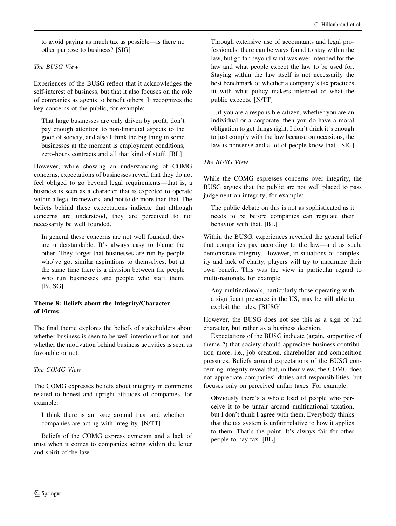to avoid paying as much tax as possible—is there no other purpose to business? [SIG]

#### The BUSG View

Experiences of the BUSG reflect that it acknowledges the self-interest of business, but that it also focuses on the role of companies as agents to benefit others. It recognizes the key concerns of the public, for example:

That large businesses are only driven by profit, don't pay enough attention to non-financial aspects to the good of society, and also I think the big thing in some businesses at the moment is employment conditions, zero-hours contracts and all that kind of stuff. [BL]

However, while showing an understanding of COMG concerns, expectations of businesses reveal that they do not feel obliged to go beyond legal requirements—that is, a business is seen as a character that is expected to operate within a legal framework, and not to do more than that. The beliefs behind these expectations indicate that although concerns are understood, they are perceived to not necessarily be well founded.

In general these concerns are not well founded; they are understandable. It's always easy to blame the other. They forget that businesses are run by people who've got similar aspirations to themselves, but at the same time there is a division between the people who run businesses and people who staff them. [BUSG]

## Theme 8: Beliefs about the Integrity/Character of Firms

The final theme explores the beliefs of stakeholders about whether business is seen to be well intentioned or not, and whether the motivation behind business activities is seen as favorable or not.

### The COMG View

The COMG expresses beliefs about integrity in comments related to honest and upright attitudes of companies, for example:

I think there is an issue around trust and whether companies are acting with integrity. [N/TT]

Beliefs of the COMG express cynicism and a lack of trust when it comes to companies acting within the letter and spirit of the law.

Through extensive use of accountants and legal professionals, there can be ways found to stay within the law, but go far beyond what was ever intended for the law and what people expect the law to be used for. Staying within the law itself is not necessarily the best benchmark of whether a company's tax practices fit with what policy makers intended or what the public expects. [N/TT]

…if you are a responsible citizen, whether you are an individual or a corporate, then you do have a moral obligation to get things right. I don't think it's enough to just comply with the law because on occasions, the law is nonsense and a lot of people know that. [SIG]

## The BUSG View

While the COMG expresses concerns over integrity, the BUSG argues that the public are not well placed to pass judgement on integrity, for example:

The public debate on this is not as sophisticated as it needs to be before companies can regulate their behavior with that. [BL]

Within the BUSG, experiences revealed the general belief that companies pay according to the law—and as such, demonstrate integrity. However, in situations of complexity and lack of clarity, players will try to maximize their own benefit. This was the view in particular regard to multi-nationals, for example:

Any multinationals, particularly those operating with a significant presence in the US, may be still able to exploit the rules. [BUSG]

However, the BUSG does not see this as a sign of bad character, but rather as a business decision.

Expectations of the BUSG indicate (again, supportive of theme 2) that society should appreciate business contribution more, i.e., job creation, shareholder and competition pressures. Beliefs around expectations of the BUSG concerning integrity reveal that, in their view, the COMG does not appreciate companies' duties and responsibilities, but focuses only on perceived unfair taxes. For example:

Obviously there's a whole load of people who perceive it to be unfair around multinational taxation, but I don't think I agree with them. Everybody thinks that the tax system is unfair relative to how it applies to them. That's the point. It's always fair for other people to pay tax. [BL]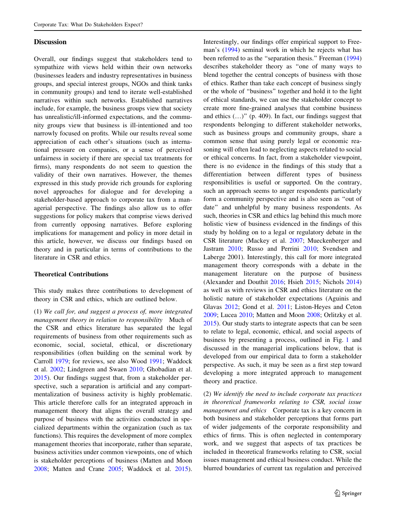#### **Discussion**

Overall, our findings suggest that stakeholders tend to sympathize with views held within their own networks (businesses leaders and industry representatives in business groups, and special interest groups, NGOs and think tanks in community groups) and tend to iterate well-established narratives within such networks. Established narratives include, for example, the business groups view that society has unrealistic/ill-informed expectations, and the community groups view that business is ill-intentioned and too narrowly focused on profits. While our results reveal some appreciation of each other's situations (such as international pressure on companies, or a sense of perceived unfairness in society if there are special tax treatments for firms), many respondents do not seem to question the validity of their own narratives. However, the themes expressed in this study provide rich grounds for exploring novel approaches for dialogue and for developing a stakeholder-based approach to corporate tax from a managerial perspective. The findings also allow us to offer suggestions for policy makers that comprise views derived from currently opposing narratives. Before exploring implications for management and policy in more detail in this article, however, we discuss our findings based on theory and in particular in terms of contributions to the literature in CSR and ethics.

#### Theoretical Contributions

This study makes three contributions to development of theory in CSR and ethics, which are outlined below.

(1) We call for, and suggest a process of, more integrated management theory in relation to responsibility Much of the CSR and ethics literature has separated the legal requirements of business from other requirements such as economic, social, societal, ethical, or discretionary responsibilities (often building on the seminal work by Carroll [1979;](#page-22-0) for reviews, see also Wood [1991;](#page-24-0) Waddock et al. [2002](#page-24-0); Lindgreen and Swaen [2010;](#page-23-0) Ghobadian et al. [2015\)](#page-23-0). Our findings suggest that, from a stakeholder perspective, such a separation is artificial and any compartmentalization of business activity is highly problematic. This article therefore calls for an integrated approach in management theory that aligns the overall strategy and purpose of business with the activities conducted in specialized departments within the organization (such as tax functions). This requires the development of more complex management theories that incorporate, rather than separate, business activities under common viewpoints, one of which is stakeholder perceptions of business (Matten and Moon [2008;](#page-23-0) Matten and Crane [2005;](#page-23-0) Waddock et al. [2015](#page-24-0)).

Interestingly, our findings offer empirical support to Freeman's ([1994\)](#page-23-0) seminal work in which he rejects what has been referred to as the ''separation thesis.'' Freeman ([1994\)](#page-23-0) describes stakeholder theory as ''one of many ways to blend together the central concepts of business with those of ethics. Rather than take each concept of business singly or the whole of ''business'' together and hold it to the light of ethical standards, we can use the stakeholder concept to create more fine-grained analyses that combine business and ethics (…)'' (p. 409). In fact, our findings suggest that respondents belonging to different stakeholder networks, such as business groups and community groups, share a common sense that using purely legal or economic reasoning will often lead to neglecting aspects related to social or ethical concerns. In fact, from a stakeholder viewpoint, there is no evidence in the findings of this study that a differentiation between different types of business responsibilities is useful or supported. On the contrary, such an approach seems to anger respondents particularly form a community perspective and is also seen as ''out of date'' and unhelpful by many business respondents. As such, theories in CSR and ethics lag behind this much more holistic view of business evidenced in the findings of this study by holding on to a legal or regulatory debate in the CSR literature (Mackey et al. [2007;](#page-23-0) Mueckenberger and Jastram [2010;](#page-23-0) Russo and Perrini [2010](#page-24-0); Svendsen and Laberge 2001). Interestingly, this call for more integrated management theory corresponds with a debate in the management literature on the purpose of business (Alexander and Douthit [2016;](#page-22-0) Hsieh [2015;](#page-23-0) Nichols [2014\)](#page-23-0) as well as with reviews in CSR and ethics literature on the holistic nature of stakeholder expectations (Aguinis and Glavas [2012](#page-22-0); Gond et al. [2011;](#page-23-0) Liston-Heyes and Ceton [2009](#page-23-0); Lucea [2010;](#page-23-0) Matten and Moon [2008;](#page-23-0) Orlitzky et al. [2015](#page-23-0)). Our study starts to integrate aspects that can be seen to relate to legal, economic, ethical, and social aspects of business by presenting a process, outlined in Fig. [1](#page-16-0) and discussed in the managerial implications below, that is developed from our empirical data to form a stakeholder perspective. As such, it may be seen as a first step toward developing a more integrated approach to management theory and practice.

(2) We identify the need to include corporate tax practices in theoretical frameworks relating to CSR, social issue management and ethics Corporate tax is a key concern in both business and stakeholder perceptions that forms part of wider judgements of the corporate responsibility and ethics of firms. This is often neglected in contemporary work, and we suggest that aspects of tax practices be included in theoretical frameworks relating to CSR, social issues management and ethical business conduct. While the blurred boundaries of current tax regulation and perceived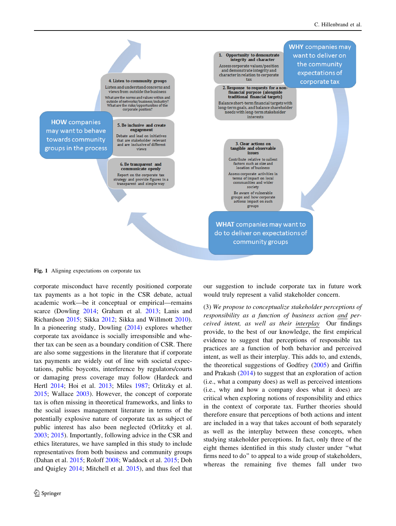<span id="page-16-0"></span>

Fig. 1 Aligning expectations on corporate tax

corporate misconduct have recently positioned corporate tax payments as a hot topic in the CSR debate, actual academic work—be it conceptual or empirical—remains scarce (Dowling [2014](#page-22-0); Graham et al. [2013;](#page-23-0) Lanis and Richardson [2015](#page-23-0); Sikka [2012;](#page-24-0) Sikka and Willmott [2010](#page-24-0)). In a pioneering study, Dowling  $(2014)$  $(2014)$  explores whether corporate tax avoidance is socially irresponsible and whether tax can be seen as a boundary condition of CSR. There are also some suggestions in the literature that if corporate tax payments are widely out of line with societal expectations, public boycotts, interference by regulators/courts or damaging press coverage may follow (Hardeck and Hertl [2014;](#page-23-0) Hoi et al. [2013](#page-23-0); Miles [1987;](#page-23-0) Orlitzky et al. [2015;](#page-23-0) Wallace [2003\)](#page-24-0). However, the concept of corporate tax is often missing in theoretical frameworks, and links to the social issues management literature in terms of the potentially explosive nature of corporate tax as subject of public interest has also been neglected (Orlitzky et al. [2003;](#page-23-0) [2015](#page-23-0)). Importantly, following advice in the CSR and ethics literatures, we have sampled in this study to include representatives from both business and community groups (Dahan et al. [2015;](#page-22-0) Roloff [2008;](#page-24-0) Waddock et al. [2015;](#page-24-0) Doh and Quigley [2014;](#page-22-0) Mitchell et al. [2015\)](#page-23-0), and thus feel that

our suggestion to include corporate tax in future work would truly represent a valid stakeholder concern.

(3) We propose to conceptualize stakeholder perceptions of responsibility as a function of business action and perceived intent, as well as their interplay Our findings provide, to the best of our knowledge, the first empirical evidence to suggest that perceptions of responsible tax practices are a function of both behavior and perceived intent, as well as their interplay. This adds to, and extends, the theoretical suggestions of Godfrey ([2005\)](#page-23-0) and Griffin and Prakash ([2014\)](#page-23-0) to suggest that an exploration of action (i.e., what a company does) as well as perceived intentions (i.e., why and how a company does what it does) are critical when exploring notions of responsibility and ethics in the context of corporate tax. Further theories should therefore ensure that perceptions of both actions and intent are included in a way that takes account of both separately as well as the interplay between these concepts, when studying stakeholder perceptions. In fact, only three of the eight themes identified in this study cluster under ''what firms need to do'' to appeal to a wide group of stakeholders, whereas the remaining five themes fall under two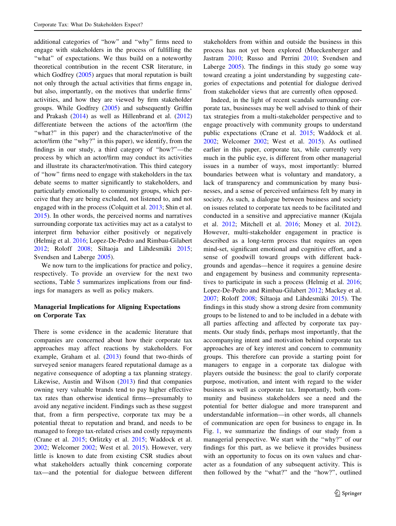additional categories of ''how'' and ''why'' firms need to engage with stakeholders in the process of fulfilling the "what" of expectations. We thus build on a noteworthy theoretical contribution in the recent CSR literature, in which Godfrey ([2005\)](#page-23-0) argues that moral reputation is built not only through the actual activities that firms engage in, but also, importantly, on the motives that underlie firms' activities, and how they are viewed by firm stakeholder groups. While Godfrey ([2005\)](#page-23-0) and subsequently Griffin and Prakash [\(2014](#page-23-0)) as well as Hillenbrand et al. ([2012\)](#page-23-0) differentiate between the actions of the actor/firm (the "what?" in this paper) and the character/motive of the actor/firm (the ''why?'' in this paper), we identify, from the findings in our study, a third category of ''how?''—the process by which an actor/firm may conduct its activities and illustrate its character/motivation. This third category of ''how'' firms need to engage with stakeholders in the tax debate seems to matter significantly to stakeholders, and particularly emotionally to community groups, which perceive that they are being excluded, not listened to, and not engaged with in the process (Colquitt et al. [2013](#page-22-0); Shin et al. [2015\)](#page-24-0). In other words, the perceived norms and narratives surrounding corporate tax activities may act as a catalyst to interpret firm behavior either positively or negatively (Helmig et al. [2016](#page-23-0); Lopez-De-Pedro and Rimbau-Gilabert [2012;](#page-23-0) Roloff [2008](#page-24-0); Siltaoja and Lähdesmäki [2015](#page-24-0); Svendsen and Laberge [2005\)](#page-24-0).

We now turn to the implications for practice and policy, respectively. To provide an overview for the next two sections, Table [5](#page-18-0) summarizes implications from our findings for managers as well as policy makers.

#### Managerial Implications for Aligning Expectations on Corporate Tax

There is some evidence in the academic literature that companies are concerned about how their corporate tax approaches may affect reactions by stakeholders. For example, Graham et al. [\(2013](#page-23-0)) found that two-thirds of surveyed senior managers feared reputational damage as a negative consequence of adopting a tax planning strategy. Likewise, Austin and Wilson [\(2013](#page-22-0)) find that companies owning very valuable brands tend to pay higher effective tax rates than otherwise identical firms—presumably to avoid any negative incident. Findings such as these suggest that, from a firm perspective, corporate tax may be a potential threat to reputation and brand, and needs to be managed to forego tax-related crises and costly repayments (Crane et al. [2015](#page-22-0); Orlitzky et al. [2015](#page-23-0); Waddock et al. [2002;](#page-24-0) Welcomer [2002](#page-24-0); West et al. [2015\)](#page-24-0). However, very little is known to date from existing CSR studies about what stakeholders actually think concerning corporate tax—and the potential for dialogue between different

stakeholders from within and outside the business in this process has not yet been explored (Mueckenberger and Jastram [2010;](#page-23-0) Russo and Perrini [2010](#page-24-0); Svendsen and Laberge [2005](#page-24-0)). The findings in this study go some way toward creating a joint understanding by suggesting categories of expectations and potential for dialogue derived from stakeholder views that are currently often opposed.

Indeed, in the light of recent scandals surrounding corporate tax, businesses may be well advised to think of their tax strategies from a multi-stakeholder perspective and to engage proactively with community groups to understand public expectations (Crane et al. [2015;](#page-22-0) Waddock et al. [2002](#page-24-0); Welcomer [2002;](#page-24-0) West et al. [2015\)](#page-24-0). As outlined earlier in this paper, corporate tax, while currently very much in the public eye, is different from other managerial issues in a number of ways, most importantly: blurred boundaries between what is voluntary and mandatory, a lack of transparency and communication by many businesses, and a sense of perceived unfairness felt by many in society. As such, a dialogue between business and society on issues related to corporate tax needs to be facilitated and conducted in a sensitive and appreciative manner (Kujala et al. [2012;](#page-23-0) Mitchell et al. [2016](#page-23-0); Money et al. [2012](#page-23-0)). However, multi-stakeholder engagement in practice is described as a long-term process that requires an open mind-set, significant emotional and cognitive effort, and a sense of goodwill toward groups with different backgrounds and agendas—hence it requires a genuine desire and engagement by business and community representatives to participate in such a process (Helmig et al. [2016](#page-23-0); Lopez-De-Pedro and Rimbau-Gilabert [2012;](#page-23-0) Mackey et al. [2007](#page-23-0); Roloff [2008;](#page-24-0) Siltaoja and Lähdesmäki [2015](#page-24-0)). The findings in this study show a strong desire from community groups to be listened to and to be included in a debate with all parties affecting and affected by corporate tax payments. Our study finds, perhaps most importantly, that the accompanying intent and motivation behind corporate tax approaches are of key interest and concern to community groups. This therefore can provide a starting point for managers to engage in a corporate tax dialogue with players outside the business: the goal to clarify corporate purpose, motivation, and intent with regard to the wider business as well as corporate tax. Importantly, both community and business stakeholders see a need and the potential for better dialogue and more transparent and understandable information—in other words, all channels of communication are open for business to engage in. In Fig. [1](#page-16-0), we summarize the findings of our study from a managerial perspective. We start with the ''why?'' of our findings for this part, as we believe it provides business with an opportunity to focus on its own values and character as a foundation of any subsequent activity. This is then followed by the ''what?'' and the ''how?'', outlined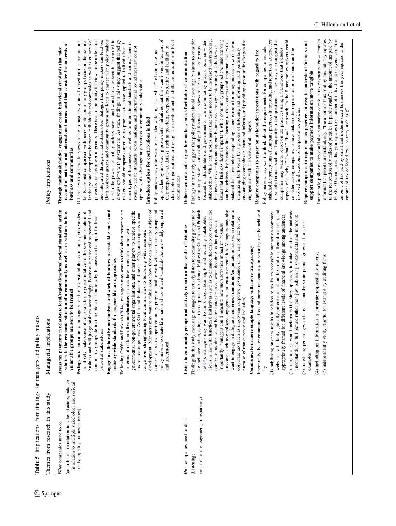| from findings for managers and policy maker |
|---------------------------------------------|
|                                             |
|                                             |
|                                             |
| Ĭ<br>----                                   |
|                                             |
| ماطم<br>Š                                   |

<sup>2</sup> Springer

<span id="page-18-0"></span>

| industry-wide standards for responsible tax approaches<br>vulnerable groups are seen to be treated<br>purpose of transparency and inclusion)<br>powerful stakeholders<br>Following Griffin and<br>Listen to community<br>and understood<br>(contribution in relation to salient factors; balance<br>in relation to multiple stakeholder and societal<br>inclusion and engagement; transparency)<br>needs; equality on power issues)<br>How companies need to do it<br>What companies need to do<br>(Listening; | Managerial implications                                                                                                                                                                                                                                                                                                                                                                                                                                                                                                                                                                                                                                                                                                                                                                                                                                                                                                                                                                                                                                                                                                                                                                                                                                                                                                                                                                                    | Policy implications                                                                                                                                                                                                                                                                                                                                                                                                                                                                                                                                                                                                                                                                                                                                                                                                                                                                                                                                                                                                                                                                                                                                                                                                                                                                                                                                                                                                                                                                                                                                                                                                                                                                                                                                                                                                                                                                                                                                                                                                                                                                                                                                                                                                                                             |
|----------------------------------------------------------------------------------------------------------------------------------------------------------------------------------------------------------------------------------------------------------------------------------------------------------------------------------------------------------------------------------------------------------------------------------------------------------------------------------------------------------------|------------------------------------------------------------------------------------------------------------------------------------------------------------------------------------------------------------------------------------------------------------------------------------------------------------------------------------------------------------------------------------------------------------------------------------------------------------------------------------------------------------------------------------------------------------------------------------------------------------------------------------------------------------------------------------------------------------------------------------------------------------------------------------------------------------------------------------------------------------------------------------------------------------------------------------------------------------------------------------------------------------------------------------------------------------------------------------------------------------------------------------------------------------------------------------------------------------------------------------------------------------------------------------------------------------------------------------------------------------------------------------------------------------|-----------------------------------------------------------------------------------------------------------------------------------------------------------------------------------------------------------------------------------------------------------------------------------------------------------------------------------------------------------------------------------------------------------------------------------------------------------------------------------------------------------------------------------------------------------------------------------------------------------------------------------------------------------------------------------------------------------------------------------------------------------------------------------------------------------------------------------------------------------------------------------------------------------------------------------------------------------------------------------------------------------------------------------------------------------------------------------------------------------------------------------------------------------------------------------------------------------------------------------------------------------------------------------------------------------------------------------------------------------------------------------------------------------------------------------------------------------------------------------------------------------------------------------------------------------------------------------------------------------------------------------------------------------------------------------------------------------------------------------------------------------------------------------------------------------------------------------------------------------------------------------------------------------------------------------------------------------------------------------------------------------------------------------------------------------------------------------------------------------------------------------------------------------------------------------------------------------------------------------------------------------------|
|                                                                                                                                                                                                                                                                                                                                                                                                                                                                                                                | development. Managers may want to think about how they can utilize the subject of<br>corporate tax to support voluntary programs and to work with community groups and<br>Assess tax payments in relation to local/regional/national societal standards, and in<br>business and will judge business accordingly. Business is perceived as powerful and<br>policy makers to create kite mark and tax-related standards that are widely supported<br>Engage in collaborative mechanisms and work with others to create kite marks and<br>Prakash (2014), managers may want to think about corporate tax<br>governments, non-governmental organizations, and other players to achieve specific<br>relation to the economic situation of a community as well as in relation to how<br>intuitively make sense of corporate tax payment relative to the size and location of<br>Perhaps most importantly, managers need to understand that community stakeholders<br>tax-related objectives. As Griffin and Prakash outline (p. 473), such objectives can<br>community groups desire tangible contributions by business and support for less<br>in terms of collaborative mechanisms, such as how firms can partner with<br>range from strengthening local communities to furthering wider economic                                                                                                              | landscape and comparison between individuals and companies as well as vulnerable/<br>powerless versus powerful groups. There is an opportunity for views to be understood<br>Both business groups and community groups are keen to engage with policy makers<br>Differences in stakeholder views relate to business groups focused on the international<br>landscape and comparison with peers, while community groups focus on the national<br>due to the power that policy makers have—and would thus be keen to be invited to<br>approaches by introducing pro-societal initiatives that firms can invest in (as part of<br>and integrated through a multi-stakeholder dialogue that policy makers can lead on.<br>discuss options with government. As such, findings in this study suggest that policy<br>charitable organizations or through the development of skills and education in local<br>other types of businesses, as well as to international standards and norms. There is<br>account of national and international norms and that consider the interests of<br>makers should compare corporate tax practices to those applied to individuals and<br>their corporate tax duties), such as providing corporate expertise and facilities to<br>room to create standards across national and international boundaries that do not<br>Through multi-stakeholder engagement create behavioral standards that take<br>Policy makers may also want to consider widening the "what?" of corporate tax<br>appear to disadvantage any business or community stakeholder<br>Introduce options for contributions in kind<br>business and communities                                                                                                                                                                                                                                                                                                                                                                                                                                                                                                                                                                                                        |
|                                                                                                                                                                                                                                                                                                                                                                                                                                                                                                                |                                                                                                                                                                                                                                                                                                                                                                                                                                                                                                                                                                                                                                                                                                                                                                                                                                                                                                                                                                                                                                                                                                                                                                                                                                                                                                                                                                                                            | communities                                                                                                                                                                                                                                                                                                                                                                                                                                                                                                                                                                                                                                                                                                                                                                                                                                                                                                                                                                                                                                                                                                                                                                                                                                                                                                                                                                                                                                                                                                                                                                                                                                                                                                                                                                                                                                                                                                                                                                                                                                                                                                                                                                                                                                                     |
|                                                                                                                                                                                                                                                                                                                                                                                                                                                                                                                | groups and actively report on the results of listening                                                                                                                                                                                                                                                                                                                                                                                                                                                                                                                                                                                                                                                                                                                                                                                                                                                                                                                                                                                                                                                                                                                                                                                                                                                                                                                                                     | Define own role not only as law-maker, but as facilitator of communication                                                                                                                                                                                                                                                                                                                                                                                                                                                                                                                                                                                                                                                                                                                                                                                                                                                                                                                                                                                                                                                                                                                                                                                                                                                                                                                                                                                                                                                                                                                                                                                                                                                                                                                                                                                                                                                                                                                                                                                                                                                                                                                                                                                      |
| Communicate in more simple language with more transparency<br>(4) including tax information in corporate responsibility reports;<br>(5) independently verify reports, for example by auditing firms<br>understands the full<br>examples;<br>.<br>S                                                                                                                                                                                                                                                             | views in line with functional initiatives (such as to enhance the employee voice in the<br>outcomes such as employee engagement and customer retention. Managers may also<br>want to engage in dialogue about cross-functional/corporate initiatives in relation to<br>Findings in this study encourage managers to actively listen to community groups and to<br>be inclusive and engaging in the corporate tax debate. Following Griffin and Prakash<br>websites, voluntarily, globally (information about tax paid in different markets), and<br>(2) using analogies and metaphors (the story approach) to make sure that the audience<br>Importantly, better communication and more transparency in reporting can be achieved<br>(1) publishing business results in relation to tax in an accessible manner on company<br>appropriately framed for different levels of financial knowledge among audiences;<br>picture rather than just publishing spreadsheets and numbers;<br>(2014), managers may want to think about listening to and including stakeholder<br>corporate tax (such as improving corporate governance in the area of tax for the<br>corporate tax debate and be consumer oriented when deciding on tax policies).<br>(3) translating percentages and abstract numbers into pound figures and tangible<br>Importantly, managers could measure how such activities impact on business | in simple formats such as "frequently asked questions." They may also suggest that<br>stakeholders have before responding. There is room for policy makers to work toward<br>stakeholder perceptions of company practices in reporting, and report on tax practices<br>a format that people understand, e.g., "the amount of tax paid by this industry equates<br>FTSE 100 companies this year equates to y number of individual tax payers"; or "the<br>issues that business deems important, while community groups believe understanding<br>encouraging companies to listen and inform), and providing opportunities for genuine<br>Importantly, policy makers could also summarize corporate tax payments across firms in<br>to the restoration of x miles of potholes in public roads"; "the amount of tax paid by<br>Findings in this study suggest that policy makers should encourage business to consider<br>can be achieved by business first listening to the concerns and important issues that<br>aspects of a "why?" "what?" "how?" approach. In the future, policy makers could<br>stakeholders. While both groups agree that there needs to be increased understanding,<br>focused on shareholders and governments, while community groups focus on wider<br>Require companies to report on tax practices in easy-to-understand formats and<br>amount of tax paid by small and medium-sized businesses this year equates to the<br>business thinks understanding can be achieved through informing stakeholders on<br>community views more explicitly: differences in views relate to business groups<br>Policy makers may want to think about the requirements for companies to include<br>companies may want to report on tax practices using a framework that includes<br>integrating both views by a process of listening and informing (and particularly<br>consider asking companies to have stakeholder representation on boards and be<br>Require companies to report on stakeholder expectations with regard to tax<br>support companies to make payment information more tangible<br>involved in discussions of corporate tax policies<br>amount of tax collected by a country such as z"<br>engagement with the views of all players |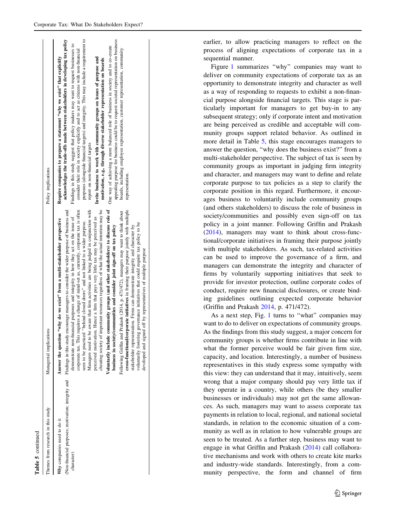| Themes from research in this study | Managerial implications                                                                                                                                                    | Policy implications                                                                                                                                                         |
|------------------------------------|----------------------------------------------------------------------------------------------------------------------------------------------------------------------------|-----------------------------------------------------------------------------------------------------------------------------------------------------------------------------|
| Why companies need to do it        | Answer the question "why do we exist" from a multi-stakeholder perspective                                                                                                 | Require companies to prepare a statement "why we exist" that explicitly                                                                                                     |
|                                    | Non-financial purposes; motivation; integrity and Findings in this study encourage managers to consider the wider purpose of business and                                  | acknowledges the trade-offs made between stakeholders in developing tax policy                                                                                              |
| character)                         | demonstrate non-financial purposes and integrity in how they act on the issue of                                                                                           | Findings in this study suggest that policy makers may want to request businesses to                                                                                         |
|                                    | corporate tax. This requires a change of mind-set as, currently, corporate tax is often                                                                                    | consider their role in society explicitly and to act as citizens with non-financial                                                                                         |
|                                    | seen to be practiced "behind closed doors" and not linked to a wider purpose.                                                                                              | purposes (alongside financial targets) and integrity. This may include a requirement to                                                                                     |
|                                    | aware that firm activities are being judged in conjunction with<br>Managers need to be                                                                                     | report on non-financial targets                                                                                                                                             |
|                                    | cheating society of important resources regardless of what the actual intention may be<br>perceived motivation. Hence a firm that pays very little tax may be perceived as | Invite business to work with community groups on issues of purpose and<br>motivation, e.g., through diverse stakeholder representation on boards                            |
|                                    | Voluntarily include community groups (and other stakeholders) to discuss role of<br>business in society/communities and consider joint sign-off on tax policy              | appealing purpose for business could be to request societal representation on business<br>One way of achieving a more balanced role of business in society and to co-create |
|                                    | Following Griffin and Prakash (2014, p. 471/472), managers may want to think about                                                                                         | boards, including employee representation, customer representation, community                                                                                               |
|                                    | cross-functional/corporate initiatives in framing their purpose jointly with multiple                                                                                      | representation.                                                                                                                                                             |
|                                    | stakeholder representation. Firms can demonstrate integrity and character by                                                                                               |                                                                                                                                                                             |
|                                    | voluntarily fostering governance initiatives that could require tax policy to be                                                                                           |                                                                                                                                                                             |
|                                    | developed and signed off by representatives of multiple purpose                                                                                                            |                                                                                                                                                                             |

earlier, to allow practicing managers to reflect on the process of aligning expectations of corporate tax in a sequential manner.

Figure [1](#page-16-0) summarizes "why" companies may want to deliver on community expectations of corporate tax as an opportunity to demonstrate integrity and character as well as a way of responding to requests to exhibit a non-financial purpose alongside financial targets. This stage is particularly important for managers to get buy-in to any subsequent strategy; only if corporate intent and motivation are being perceived as credible and acceptable will community groups support related behavior. As outlined in more detail in Table [5](#page-18-0), this stage encourages managers to answer the question, ''why does the business exist?'' from a multi-stakeholder perspective. The subject of tax is seen by community groups as important in judging firm integrity and character, and managers may want to define and relate corporate purpose to tax policies as a step to clarify the corporate position in this regard. Furthermore, it encourages business to voluntarily include community groups (and others stakeholders) to discuss the role of business in society/communities and possibly even sign-off on tax policy in a joint manner. Following Griffin and Prakash [\(2014](#page-23-0)), managers may want to think about cross-functional/corporate initiatives in framing their purpose jointly with multiple stakeholders. As such, tax-related activities can be used to improve the governance of a firm, and managers can demonstrate the integrity and character of firms by voluntarily supporting initiatives that seek to provide for investor protection, outline corporate codes of conduct, require new financial disclosures, or create binding guidelines outlining expected corporate behavior (Griffin and Prakash [2014,](#page-23-0) p. 471/472).

As a next step, Fig. [1](#page-16-0) turns to "what" companies may want to do to deliver on expectations of community groups. As the findings from this study suggest, a major concern for community groups is whether firms contribute in line with what the former perceive would be fair given firm size, capacity, and location. Interestingly, a number of business representatives in this study express some sympathy with this view: they can understand that it may, intuitively, seem wrong that a major company should pay very little tax if they operate in a country, while others (be they smaller businesses or individuals) may not get the same allowances. As such, managers may want to assess corporate tax payments in relation to local, regional, and national societal standards, in relation to the economic situation of a community as well as in relation to how vulnerable groups are seen to be treated. As a further step, business may want to engage in what Griffin and Prakash ([2014\)](#page-23-0) call collaborative mechanisms and work with others to create kite marks and industry-wide standards. Interestingly, from a community perspective, the form and channel of firm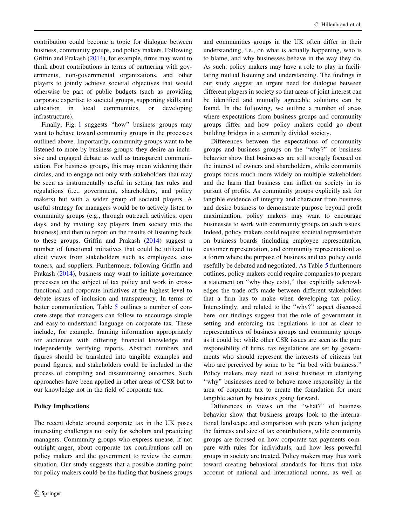contribution could become a topic for dialogue between business, community groups, and policy makers. Following Griffin and Prakash [\(2014](#page-23-0)), for example, firms may want to think about contributions in terms of partnering with governments, non-governmental organizations, and other players to jointly achieve societal objectives that would otherwise be part of public budgets (such as providing corporate expertise to societal groups, supporting skills and education in local communities, or developing infrastructure).

Finally, Fig. [1](#page-16-0) suggests "how" business groups may want to behave toward community groups in the processes outlined above. Importantly, community groups want to be listened to more by business groups: they desire an inclusive and engaged debate as well as transparent communication. For business groups, this may mean widening their circles, and to engage not only with stakeholders that may be seen as instrumentally useful in setting tax rules and regulations (i.e., government, shareholders, and policy makers) but with a wider group of societal players. A useful strategy for managers would be to actively listen to community groups (e.g., through outreach activities, open days, and by inviting key players from society into the business) and then to report on the results of listening back to these groups. Griffin and Prakash ([2014\)](#page-23-0) suggest a number of functional initiatives that could be utilized to elicit views from stakeholders such as employees, customers, and suppliers. Furthermore, following Griffin and Prakash ([2014](#page-23-0)), business may want to initiate governance processes on the subject of tax policy and work in crossfunctional and corporate initiatives at the highest level to debate issues of inclusion and transparency. In terms of better communication, Table [5](#page-18-0) outlines a number of concrete steps that managers can follow to encourage simple and easy-to-understand language on corporate tax. These include, for example, framing information appropriately for audiences with differing financial knowledge and independently verifying reports. Abstract numbers and figures should be translated into tangible examples and pound figures, and stakeholders could be included in the process of compiling and disseminating outcomes. Such approaches have been applied in other areas of CSR but to our knowledge not in the field of corporate tax.

#### Policy Implications

The recent debate around corporate tax in the UK poses interesting challenges not only for scholars and practicing managers. Community groups who express unease, if not outright anger, about corporate tax contributions call on policy makers and the government to review the current situation. Our study suggests that a possible starting point for policy makers could be the finding that business groups

and communities groups in the UK often differ in their understanding, i.e., on what is actually happening, who is to blame, and why businesses behave in the way they do. As such, policy makers may have a role to play in facilitating mutual listening and understanding. The findings in our study suggest an urgent need for dialogue between different players in society so that areas of joint interest can be identified and mutually agreeable solutions can be found. In the following, we outline a number of areas where expectations from business groups and community groups differ and how policy makers could go about building bridges in a currently divided society.

Differences between the expectations of community groups and business groups on the ''why?'' of business behavior show that businesses are still strongly focused on the interest of owners and shareholders, while community groups focus much more widely on multiple stakeholders and the harm that business can inflict on society in its pursuit of profits. As community groups explicitly ask for tangible evidence of integrity and character from business and desire business to demonstrate purpose beyond profit maximization, policy makers may want to encourage businesses to work with community groups on such issues. Indeed, policy makers could request societal representation on business boards (including employee representation, customer representation, and community representation) as a forum where the purpose of business and tax policy could usefully be debated and negotiated. As Table [5](#page-18-0) furthermore outlines, policy makers could require companies to prepare a statement on ''why they exist,'' that explicitly acknowledges the trade-offs made between different stakeholders that a firm has to make when developing tax policy. Interestingly, and related to the ''why?'' aspect discussed here, our findings suggest that the role of government in setting and enforcing tax regulations is not as clear to representatives of business groups and community groups as it could be: while other CSR issues are seen as the pure responsibility of firms, tax regulations are set by governments who should represent the interests of citizens but who are perceived by some to be "in bed with business." Policy makers may need to assist business in clarifying "why" businesses need to behave more responsibly in the area of corporate tax to create the foundation for more tangible action by business going forward.

Differences in views on the ''what?'' of business behavior show that business groups look to the international landscape and comparison with peers when judging the fairness and size of tax contributions, while community groups are focused on how corporate tax payments compare with rules for individuals, and how less powerful groups in society are treated. Policy makers may thus work toward creating behavioral standards for firms that take account of national and international norms, as well as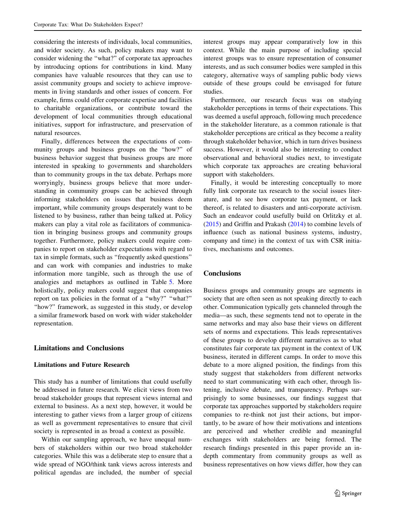considering the interests of individuals, local communities, and wider society. As such, policy makers may want to consider widening the ''what?'' of corporate tax approaches by introducing options for contributions in kind. Many companies have valuable resources that they can use to assist community groups and society to achieve improvements in living standards and other issues of concern. For example, firms could offer corporate expertise and facilities to charitable organizations, or contribute toward the development of local communities through educational initiatives, support for infrastructure, and preservation of natural resources.

Finally, differences between the expectations of community groups and business groups on the ''how?'' of business behavior suggest that business groups are more interested in speaking to governments and shareholders than to community groups in the tax debate. Perhaps more worryingly, business groups believe that more understanding in community groups can be achieved through informing stakeholders on issues that business deem important, while community groups desperately want to be listened to by business, rather than being talked at. Policy makers can play a vital role as facilitators of communication in bringing business groups and community groups together. Furthermore, policy makers could require companies to report on stakeholder expectations with regard to tax in simple formats, such as ''frequently asked questions'' and can work with companies and industries to make information more tangible, such as through the use of analogies and metaphors as outlined in Table [5](#page-18-0). More holistically, policy makers could suggest that companies report on tax policies in the format of a ''why?'' ''what?'' "how?" framework, as suggested in this study, or develop a similar framework based on work with wider stakeholder representation.

#### Limitations and Conclusions

#### Limitations and Future Research

This study has a number of limitations that could usefully be addressed in future research. We elicit views from two broad stakeholder groups that represent views internal and external to business. As a next step, however, it would be interesting to gather views from a larger group of citizens as well as government representatives to ensure that civil society is represented in as broad a context as possible.

Within our sampling approach, we have unequal numbers of stakeholders within our two broad stakeholder categories. While this was a deliberate step to ensure that a wide spread of NGO/think tank views across interests and political agendas are included, the number of special interest groups may appear comparatively low in this context. While the main purpose of including special interest groups was to ensure representation of consumer interests, and as such consumer bodies were sampled in this category, alternative ways of sampling public body views outside of these groups could be envisaged for future studies.

Furthermore, our research focus was on studying stakeholder perceptions in terms of their expectations. This was deemed a useful approach, following much precedence in the stakeholder literature, as a common rationale is that stakeholder perceptions are critical as they become a reality through stakeholder behavior, which in turn drives business success. However, it would also be interesting to conduct observational and behavioral studies next, to investigate which corporate tax approaches are creating behavioral support with stakeholders.

Finally, it would be interesting conceptually to more fully link corporate tax research to the social issues literature, and to see how corporate tax payment, or lack thereof, is related to disasters and anti-corporate activism. Such an endeavor could usefully build on Orlitzky et al. [\(2015](#page-23-0)) and Griffin and Prakash ([2014\)](#page-23-0) to combine levels of influence (such as national business systems, industry, company and time) in the context of tax with CSR initiatives, mechanisms and outcomes.

#### **Conclusions**

Business groups and community groups are segments in society that are often seen as not speaking directly to each other. Communication typically gets channeled through the media—as such, these segments tend not to operate in the same networks and may also base their views on different sets of norms and expectations. This leads representatives of these groups to develop different narratives as to what constitutes fair corporate tax payment in the context of UK business, iterated in different camps. In order to move this debate to a more aligned position, the findings from this study suggest that stakeholders from different networks need to start communicating with each other, through listening, inclusive debate, and transparency. Perhaps surprisingly to some businesses, our findings suggest that corporate tax approaches supported by stakeholders require companies to re-think not just their actions, but importantly, to be aware of how their motivations and intentions are perceived and whether credible and meaningful exchanges with stakeholders are being formed. The research findings presented in this paper provide an indepth commentary from community groups as well as business representatives on how views differ, how they can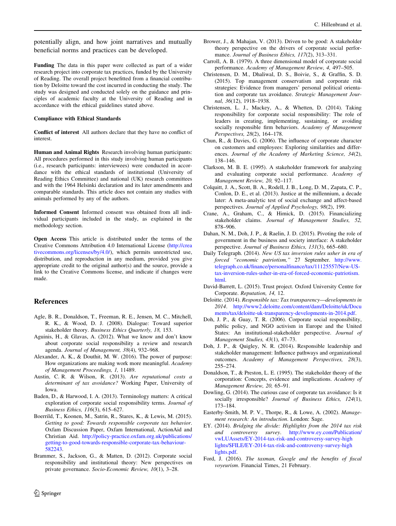<span id="page-22-0"></span>potentially align, and how joint narratives and mutually beneficial norms and practices can be developed.

Funding The data in this paper were collected as part of a wider research project into corporate tax practices, funded by the University of Reading. The overall project benefitted from a financial contribution by Deloitte toward the cost incurred in conducting the study. The study was designed and conducted solely on the guidance and principles of academic faculty at the University of Reading and in accordance with the ethical guidelines stated above.

#### Compliance with Ethical Standards

Conflict of interest All authors declare that they have no conflict of interest.

Human and Animal Rights Research involving human participants: All procedures performed in this study involving human participants (i.e., research participants: interviewees) were conducted in accordance with the ethical standards of institutional (University of Reading Ethics Committee) and national (UK) research committees and with the 1964 Helsinki declaration and its later amendments and comparable standards. This article does not contain any studies with animals performed by any of the authors.

Informed Consent Informed consent was obtained from all individual participants included in the study, as explained in the methodology section.

Open Access This article is distributed under the terms of the Creative Commons Attribution 4.0 International License ([http://crea](http://creativecommons.org/licenses/by/4.0/) [tivecommons.org/licenses/by/4.0/\)](http://creativecommons.org/licenses/by/4.0/), which permits unrestricted use, distribution, and reproduction in any medium, provided you give appropriate credit to the original author(s) and the source, provide a link to the Creative Commons license, and indicate if changes were made.

#### References

- Agle, B. R., Donaldson, T., Freeman, R. E., Jensen, M. C., Mitchell, R. K., & Wood, D. J. (2008). Dialogue: Toward superior stakeholder theory. Business Ethics Quarterly, 18, 153.
- Aguinis, H., & Glavas, A. (2012). What we know and don't know about corporate social responsibility a review and research agenda. Journal of Management, 38(4), 932–968.
- Alexander, A. K., & Douthit, M. W. (2016). The power of purpose: How organizations are making work more meaningful. Academy of Management Proceedings, 1, 11489.
- Austin, C. R. & Wilson, R. (2013). Are reputational costs a determinant of tax avoidance? Working Paper, University of Iowa.
- Baden, D., & Harwood, I. A. (2013). Terminology matters: A critical exploration of corporate social responsibility terms. Journal of Business Ethics, 116(3), 615–627.
- Boerrild, T., Koonen, M., Satrin, R., Stares, K., & Lewis, M. (2015). Getting to good: Towards responsible corporate tax behavior. Oxfam Discussion Paper, Oxfam International, ActionAid and Christian Aid. [http://policy-practice.oxfam.org.uk/publications/](http://policy-practice.oxfam.org.uk/publications/getting-to-good-towards-responsible-corporate-tax-behaviour-582243) [getting-to-good-towards-responsible-corporate-tax-behaviour-](http://policy-practice.oxfam.org.uk/publications/getting-to-good-towards-responsible-corporate-tax-behaviour-582243)[582243](http://policy-practice.oxfam.org.uk/publications/getting-to-good-towards-responsible-corporate-tax-behaviour-582243).
- Brammer, S., Jackson, G., & Matten, D. (2012). Corporate social responsibility and institutional theory: New perspectives on private governance. Socio-Economic Review, 10(1), 3–28.
- Brower, J., & Mahajan, V. (2013). Driven to be good: A stakeholder theory perspective on the drivers of corporate social performance. Journal of Business Ethics, 117(2), 313-331.
- Carroll, A. B. (1979). A three dimensional model of corporate social performance. Academy of Management Review, 4, 497–505.
- Christensen, D. M., Dhaliwal, D. S., Boivie, S., & Graffin, S. D. (2015). Top management conservatism and corporate risk strategies: Evidence from managers' personal political orientation and corporate tax avoidance. Strategic Management Journal, 36(12), 1918–1938.
- Christensen, L. J., Mackey, A., & Whetten, D. (2014). Taking responsibility for corporate social responsibility: The role of leaders in creating, implementing, sustaining, or avoiding socially responsible firm behaviors. Academy of Management Perspectives, 28(2), 164–178.
- Chun, R., & Davies, G. (2006). The influence of corporate character on customers and employees: Exploring similarities and differences. Journal of the Academy of Marketing Science, 34(2), 138–146.
- Clarkson, M. B. E. (1995). A stakeholder framework for analyzing and evaluating corporate social performance. Academy of Management Review, 20, 92–117.
- Colquitt, J. A., Scott, B. A., Rodell, J. B., Long, D. M., Zapata, C. P., Conlon, D. E., et al. (2013). Justice at the millennium, a decade later: A meta-analytic test of social exchange and affect-based perspectives. Journal of Applied Psychology, 98(2), 199.
- Crane, A., Graham, C., & Himick, D. (2015). Financializing stakeholder claims. Journal of Management Studies, 52, 878–906.
- Dahan, N. M., Doh, J. P., & Raelin, J. D. (2015). Pivoting the role of government in the business and society interface: A stakeholder perspective. Journal of Business Ethics, 131(3), 665–680.
- Daily Telegraph. (2014). New US tax inversion rules usher in era of forced ''economic patriotism,'' 27 September. [http://www.](http://www.telegraph.co.uk/finance/personalfinance/tax/11125557/New-US-tax-inversion-rules-usher-in-era-of-forced-economic-patriotism.html) [telegraph.co.uk/finance/personalfinance/tax/11125557/New-US](http://www.telegraph.co.uk/finance/personalfinance/tax/11125557/New-US-tax-inversion-rules-usher-in-era-of-forced-economic-patriotism.html)[tax-inversion-rules-usher-in-era-of-forced-economic-patriotism.](http://www.telegraph.co.uk/finance/personalfinance/tax/11125557/New-US-tax-inversion-rules-usher-in-era-of-forced-economic-patriotism.html) [html.](http://www.telegraph.co.uk/finance/personalfinance/tax/11125557/New-US-tax-inversion-rules-usher-in-era-of-forced-economic-patriotism.html)
- David-Barrett, L. (2015). Trust project. Oxford University Centre for Corporate. Reputation, 14, 12.
- Deloitte. (2014). Responsible tax: Tax transparency—developments in 2014. [http://www2.deloitte.com/content/dam/Deloitte/uk/Docu](http://www2.deloitte.com/content/dam/Deloitte/uk/Documents/tax/deloitte-uk-transparency-developments-in-2014.pdf) [ments/tax/deloitte-uk-transparency-developments-in-2014.pdf](http://www2.deloitte.com/content/dam/Deloitte/uk/Documents/tax/deloitte-uk-transparency-developments-in-2014.pdf).
- Doh, J. P., & Guay, T. R. (2006). Corporate social responsibility, public policy, and NGO activism in Europe and the United States: An institutional-stakeholder perspective. Journal of Management Studies, 43(1), 47–73.
- Doh, J. P., & Quigley, N. R. (2014). Responsible leadership and stakeholder management: Influence pathways and organizational outcomes. Academy of Management Perspectives, 28(3), 255–274.
- Donaldson, T., & Preston, L. E. (1995). The stakeholder theory of the corporation: Concepts, evidence and implications. Academy of Management Review, 20, 65–91.
- Dowling, G. (2014). The curious case of corporate tax avoidance: Is it socially irresponsible? Journal of Business Ethics, 124(1), 173–184.
- Easterby-Smith, M. P. V., Thorpe, R., & Lowe, A. (2002). Management research: An introduction. London: Sage.
- EY. (2014). Bridging the divide: Highlights from the 2014 tax risk and controversy survey. [http://www.ey.com/Publication/](http://www.ey.com/Publication/vwLUAssets/EY-2014-tax-risk-and-controversy-survey-highlights/%24FILE/EY-2014-tax-risk-and-controversy-survey-highlights.pdf) [vwLUAssets/EY-2014-tax-risk-and-controversy-survey-high](http://www.ey.com/Publication/vwLUAssets/EY-2014-tax-risk-and-controversy-survey-highlights/%24FILE/EY-2014-tax-risk-and-controversy-survey-highlights.pdf) [lights/\\$FILE/EY-2014-tax-risk-and-controversy-survey-high](http://www.ey.com/Publication/vwLUAssets/EY-2014-tax-risk-and-controversy-survey-highlights/%24FILE/EY-2014-tax-risk-and-controversy-survey-highlights.pdf) [lights.pdf](http://www.ey.com/Publication/vwLUAssets/EY-2014-tax-risk-and-controversy-survey-highlights/%24FILE/EY-2014-tax-risk-and-controversy-survey-highlights.pdf).
- Ford, J. (2016). The taxman, Google and the benefits of fiscal voyeurism. Financial Times, 21 February.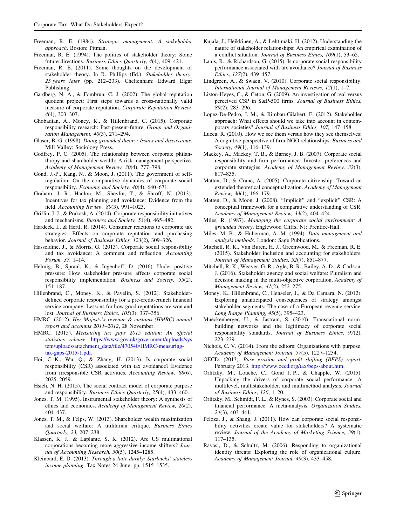- <span id="page-23-0"></span>Freeman, R. E. (1984). Strategic management: A stakeholder approach. Boston: Pitman.
- Freeman, R. E. (1994). The politics of stakeholder theory: Some future directions. Business Ethics Quarterly, 4(4), 409–421.
- Freeman, R. E. (2011). Some thoughts on the development of stakeholder theory. In R. Phillips (Ed.), Stakeholder theory: 25 years later (pp. 212–233). Cheltenham: Edward Elgar Publishing.
- Gardberg, N. A., & Fombrun, C. J. (2002). The global reputation quotient project: First steps towards a cross-nationally valid measure of corporate reputation. Corporate Reputation Review, 4(4), 303–307.
- Ghobadian, A., Money, K., & Hillenbrand, C. (2015). Corporate responsibility research: Past-present-future. Group and Organization Management, 40(3), 271–294.
- Glaser, B. G. (1998). Doing grounded theory: Issues and discussions. Mill Valley: Sociology Press.
- Godfrey, P. C. (2005). The relationship between corporate philanthropy and shareholder wealth: A risk management perspective. Academy of Management Review, 30(4), 777–798.
- Gond, J.-P., Kang, N., & Moon, J. (2011). The government of selfregulation: On the comparative dynamics of corporate social responsibility. Economy and Society, 40(4), 640–671.
- Graham, J. R., Hanlon, M., Shevlin, T., & Shroff, N. (2013). Incentives for tax planning and avoidance: Evidence from the field. Accounting Review, 89(3), 991–1023.
- Griffin, J. J., & Prakash, A. (2014). Corporate responsibility initiatives and mechanisms. Business and Society, 53(4), 465–482.
- Hardeck, I., & Hertl, R. (2014). Consumer reactions to corporate tax strategies: Effects on corporate reputation and purchasing behavior. Journal of Business Ethics, 123(2), 309–326.
- Hasseldine, J., & Morris, G. (2013). Corporate social responsibility and tax avoidance: A comment and reflection. Accounting Forum, 37, 1–14.
- Helmig, B., Spraul, K., & Ingenhoff, D. (2016). Under positive pressure: How stakeholder pressure affects corporate social responsibility implementation. Business and Society, 55(2), 151–187.
- Hillenbrand, C., Money, K., & Pavelin, S. (2012). Stakeholderdefined corporate responsibility for a pre-credit-crunch financial service company: Lessons for how good reputations are won and lost. Journal of Business Ethics, 105(3), 337–356.
- HMRC. (2012). Her Majesty's revenue & customs (HMRC) annual report and accounts 2011–2012, 28 November.
- HMRC. (2015). Measuring tax gaps 2015 edition: An official statistics release. [https://www.gov.uk/government/uploads/sys](https://www.gov.uk/government/uploads/system/uploads/attachment_data/file/470540/HMRC-measuring-tax-gaps-2015-1.pdf) [tem/uploads/attachment\\_data/file/470540/HMRC-measuring](https://www.gov.uk/government/uploads/system/uploads/attachment_data/file/470540/HMRC-measuring-tax-gaps-2015-1.pdf)[tax-gaps-2015-1.pdf](https://www.gov.uk/government/uploads/system/uploads/attachment_data/file/470540/HMRC-measuring-tax-gaps-2015-1.pdf).
- Hoi, C.-K., Wu, Q., & Zhang, H. (2013). Is corporate social responsibility (CSR) associated with tax avoidance? Evidence from irresponsible CSR activities. Accounting Review, 88(6), 2025–2059.
- Hsieh, N. H. (2015). The social contract model of corporate purpose and responsibility. Business Ethics Quarterly, 25(4), 433–460.
- Jones, T. M. (1995). Instrumental stakeholder theory: A synthesis of ethics and economics. Academy of Management Review, 20(2), 404–437.
- Jones, T. M., & Felps, W. (2013). Shareholder wealth maximization and social welfare: A utilitarian critique. Business Ethics Quarterly, 23, 207–238.
- Klassen, K. J., & Laplante, S. K. (2012). Are US multinational corporations becoming more aggressive income shifters? Journal of Accounting Research, 50(5), 1245–1285.
- Kleinbard, E. D. (2013). Through a latte darkly: Starbucks' stateless income planning. Tax Notes 24 June, pp. 1515–1535.
- Kujala, J., Heikkinen, A., & Lehtimäki, H. (2012). Understanding the nature of stakeholder relationships: An empirical examination of a conflict situation. Journal of Business Ethics, 109(1), 53–65.
- Lanis, R., & Richardson, G. (2015). Is corporate social responsibility performance associated with tax avoidance? Journal of Business Ethics, 127(2), 439–457.
- Lindgreen, A., & Swaen, V. (2010). Corporate social responsibility. International Journal of Management Reviews, 12(1), 1–7.
- Liston-Heyes, C., & Ceton, G. (2009). An investigation of real versus perceived CSP in S&P-500 firms. Journal of Business Ethics, 89(2), 283–296.
- Lopez-De-Pedro, J. M., & Rimbau-Gilabert, E. (2012). Stakeholder approach: What effects should we take into account in contemporary societies? Journal of Business Ethics, 107, 147–158.
- Lucea, R. (2010). How we see them versus how they see themselves: A cognitive perspective of firm-NGO relationships. Business and Society, 49(1), 116-139.
- Mackey, A., Mackey, T. B., & Barney, J. B. (2007). Corporate social responsibility and firm performance: Investor preferences and corporate strategies. Academy of Management Review, 32(3), 817–835.
- Matten, D., & Crane, A. (2005). Corporate citizenship: Toward an extended theoretical conceptualization. Academy of Management Review, 30(1), 166–179.
- Matten, D., & Moon, J. (2008). "Implicit" and "explicit" CSR: A conceptual framework for a comparative understanding of CSR. Academy of Management Review, 33(2), 404–424.
- Miles, R. (1987). Managing the corporate social environment: A grounded theory. Englewood Cliffs, NJ: Prentice-Hall.
- Miles, M. B., & Huberman, A. M. (1994). Data management and analysis methods. London: Sage Publications.
- Mitchell, R. K., Van Buren, H. J., Greenwood, M., & Freeman, R. E. (2015). Stakeholder inclusion and accounting for stakeholders. Journal of Management Studies, 52(7), 851–877.
- Mitchell, R. K., Weaver, G. R., Agle, B. R., Bailey, A. D., & Carlson, J. (2016). Stakeholder agency and social welfare: Pluralism and decision making in the multi-objective corporation. Academy of Management Review, 41(2), 252–275.
- Money, K., Hillenbrand, C., Henseler, J., & Da Camara, N. (2012). Exploring unanticipated consequences of strategy amongst stakeholder segments: The case of a European revenue service. Long Range Planning, 45(5), 395–423.
- Mueckenberger, U., & Jastram, S. (2010). Transnational normbuilding networks and the legitimacy of corporate social responsibility standards. Journal of Business Ethics, 97(2), 223–239.
- Nichols, C. V. (2014). From the editors: Organizations with purpose. Academy of Management Journal, 57(5), 1227–1234.
- OECD. (2013). Base erosion and profit shifting (BEPS) report, February 2013. <http://www.oecd.org/tax/beps-about.htm>.
- Orlitzky, M., Louche, C., Gond J. P., & Chapple, W. (2015). Unpacking the drivers of corporate social performance: A multilevel, multistakeholder, and multimethod analysis. Journal of Business Ethics, 126, 1–20.
- Orlitzky, M., Schmidt, F. L., & Rynes, S. (2003). Corporate social and financial performance. A meta-analysis. Organization Studies, 24(3), 403–441.
- Peloza, J., & Shang, J. (2011). How can corporate social responsibility activities create value for stakeholders? A systematic review. Journal of the Academy of Marketing Science, 39(1), 117–135.
- Ravasi, D., & Schultz, M. (2006). Responding to organizational identity threats: Exploring the role of organizational culture. Academy of Management Journal, 49(3), 433–458.